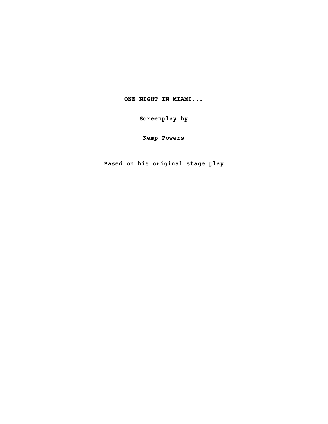**ONE NIGHT IN MIAMI...**

**Screenplay by**

**Kemp Powers**

**Based on his original stage play**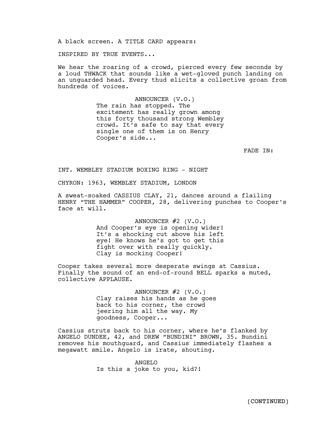A black screen. A TITLE CARD appears:

INSPIRED BY TRUE EVENTS...

We hear the roaring of a crowd, pierced every few seconds by a loud THWACK that sounds like a wet-gloved punch landing on an unguarded head. Every thud elicits a collective groan from hundreds of voices.

> ANNOUNCER (V.O.) The rain has stopped. The excitement has really grown among this forty thousand strong Wembley crowd. It's safe to say that every single one of them is on Henry Cooper's side...

> > FADE IN:

INT. WEMBLEY STADIUM BOXING RING - NIGHT

CHYRON: 1963, WEMBLEY STADIUM, LONDON

A sweat-soaked CASSIUS CLAY, 21, dances around a flailing HENRY "THE HAMMER" COOPER, 28, delivering punches to Cooper's face at will.

> ANNOUNCER  $#2$  (V.O.) And Cooper's eye is opening wider! It's a shocking cut above his left eye! He knows he's got to get this fight over with really quickly. Clay is mocking Cooper!

Cooper takes several more desperate swings at Cassius. Finally the sound of an end-of-round BELL sparks a muted, collective APPLAUSE.

> ANNOUNCER  $#2$  (V.O.) Clay raises his hands as he goes back to his corner, the crowd jeering him all the way. My goodness, Cooper...

Cassius struts back to his corner, where he's flanked by ANGELO DUNDEE, 42, and DREW "BUNDINI" BROWN, 35. Bundini removes his mouthguard, and Cassius immediately flashes a megawatt smile. Angelo is irate, shouting.

> ANGELO Is this a joke to you, kid?!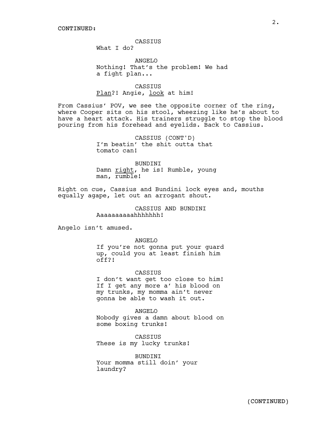CASSIUS

What I do?

ANGELO Nothing! That's the problem! We had a fight plan...

CASSIUS Plan?! Angie, look at him!

From Cassius' POV, we see the opposite corner of the ring, where Cooper sits on his stool, wheezing like he's about to have a heart attack. His trainers struggle to stop the blood pouring from his forehead and eyelids. Back to Cassius.

> CASSIUS (CONT'D) I'm beatin' the shit outta that tomato can!

BUNDINI Damn right, he is! Rumble, young man, rumble!

Right on cue, Cassius and Bundini lock eyes and, mouths equally agape, let out an arrogant shout.

> CASSIUS AND BUNDINI Aaaaaaaaaahhhhhhh!

Angelo isn't amused.

ANGELO

If you're not gonna put your guard up, could you at least finish him off?!

# CASSIUS

I don't want get too close to him! If I get any more a' his blood on my trunks, my momma ain't never gonna be able to wash it out.

ANGELO Nobody gives a damn about blood on some boxing trunks!

CASSIUS These is my lucky trunks!

BUNDINI Your momma still doin' your laundry?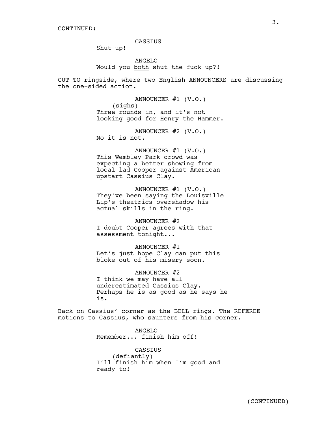CASSIUS

Shut up!

ANGELO Would you both shut the fuck up?!

CUT TO ringside, where two English ANNOUNCERS are discussing the one-sided action.

> ANNOUNCER  $#1$  (V.O.) (sighs) Three rounds in, and it's not looking good for Henry the Hammer.

ANNOUNCER  $#2$  (V.O.) No it is not.

ANNOUNCER  $#1$  (V.O.) This Wembley Park crowd was expecting a better showing from local lad Cooper against American upstart Cassius Clay.

ANNOUNCER #1 (V.O.) They've been saying the Louisville Lip's theatrics overshadow his actual skills in the ring.

ANNOUNCER #2 I doubt Cooper agrees with that assessment tonight...

ANNOUNCER #1 Let's just hope Clay can put this bloke out of his misery soon.

ANNOUNCER #2 I think we may have all underestimated Cassius Clay. Perhaps he is as good as he says he is.

Back on Cassius' corner as the BELL rings. The REFEREE motions to Cassius, who saunters from his corner.

> ANGELO Remember... finish him off!

CASSIUS (defiantly) I'll finish him when I'm good and ready to!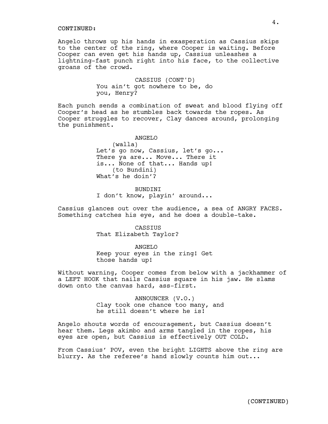#### CONTINUED:

Angelo throws up his hands in exasperation as Cassius skips to the center of the ring, where Cooper is waiting. Before Cooper can even get his hands up, Cassius unleashes a lightning-fast punch right into his face, to the collective groans of the crowd.

> CASSIUS (CONT'D) You ain't got nowhere to be, do you, Henry?

Each punch sends a combination of sweat and blood flying off Cooper's head as he stumbles back towards the ropes. As Cooper struggles to recover, Clay dances around, prolonging the punishment.

> ANGELO (walla) Let's go now, Cassius, let's go... There ya are... Move... There it is... None of that... Hands up! (to Bundini) What's he doin'?

BUNDINI I don't know, playin' around...

Cassius glances out over the audience, a sea of ANGRY FACES. Something catches his eye, and he does a double-take.

> CASSIUS That Elizabeth Taylor?

ANGELO Keep your eyes in the ring! Get those hands up!

Without warning, Cooper comes from below with a jackhammer of a LEFT HOOK that nails Cassius square in his jaw. He slams down onto the canvas hard, ass-first.

> ANNOUNCER (V.O.) Clay took one chance too many, and he still doesn't where he is!

Angelo shouts words of encouragement, but Cassius doesn't hear them. Legs akimbo and arms tangled in the ropes, his eyes are open, but Cassius is effectively OUT COLD.

From Cassius' POV, even the bright LIGHTS above the ring are blurry. As the referee's hand slowly counts him out...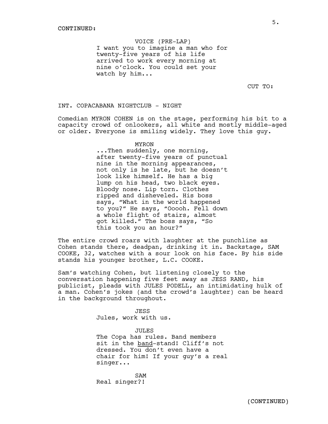VOICE (PRE-LAP) I want you to imagine a man who for twenty-five years of his life arrived to work every morning at nine o'clock. You could set your watch by him...

CUT TO:

# INT. COPACABANA NIGHTCLUB - NIGHT

Comedian MYRON COHEN is on the stage, performing his bit to a capacity crowd of onlookers, all white and mostly middle-aged or older. Everyone is smiling widely. They love this guy.

### MYRON

...Then suddenly, one morning, after twenty-five years of punctual nine in the morning appearances, not only is he late, but he doesn't look like himself. He has a big lump on his head, two black eyes. Bloody nose. Lip torn. Clothes ripped and disheveled. His boss says, "What in the world happened to you?" He says, "Ooooh. Fell down a whole flight of stairs, almost got killed." The boss says, "So this took you an hour?"

The entire crowd roars with laughter at the punchline as Cohen stands there, deadpan, drinking it in. Backstage, SAM COOKE, 32, watches with a sour look on his face. By his side stands his younger brother, L.C. COOKE.

Sam's watching Cohen, but listening closely to the conversation happening five feet away as JESS RAND, his publicist, pleads with JULES PODELL, an intimidating hulk of a man. Cohen's jokes (and the crowd's laughter) can be heard in the background throughout.

> JESS Jules, work with us.

JULES The Copa has rules. Band members sit in the band-stand! Cliff's not dressed. You don't even have a chair for him! If your guy's a real singer...

SAM Real singer?!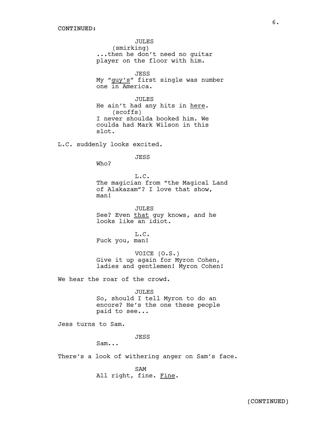JULES (smirking) ...then he don't need no guitar player on the floor with him. JESS My "guy's" first single was number one in America. JULES He ain't had any hits in here. (scoffs) I never shoulda booked him. We coulda had Mark Wilson in this slot. L.C. suddenly looks excited. JESS Who? L.C. The magician from "the Magical Land of Alakazam"? I love that show, man! JULES See? Even that guy knows, and he looks like an idiot. L.C. Fuck you, man! VOICE (O.S.) Give it up again for Myron Cohen, ladies and gentlemen! Myron Cohen!

We hear the roar of the crowd.

JULES So, should I tell Myron to do an encore? He's the one these people paid to see...

Jess turns to Sam.

JESS

Sam...

There's a look of withering anger on Sam's face.

SAM All right, fine. Fine.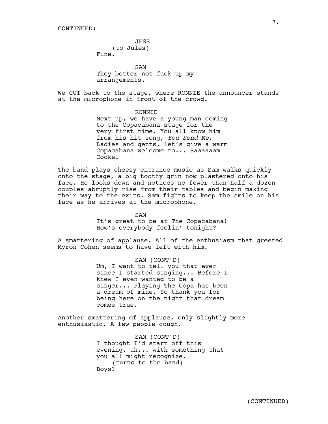JESS (to Jules) Fine.

SAM They better not fuck up my arrangements.

We CUT back to the stage, where RONNIE the announcer stands at the microphone in front of the crowd.

RONNIE

Next up, we have a young man coming to the Copacabana stage for the very first time. You all know him from his hit song, *You Send Me*. Ladies and gents, let's give a warm Copacabana welcome to... Saaaaaam Cooke!

The band plays cheesy entrance music as Sam walks quickly onto the stage, a big toothy grin now plastered onto his face. He looks down and notices no fewer than half a dozen couples abruptly rise from their tables and begin making their way to the exits. Sam fights to keep the smile on his face as he arrives at the microphone.

> SAM It's great to be at The Copacabana! How's everybody feelin' tonight?

A smattering of applause. All of the enthusiasm that greeted Myron Cohen seems to have left with him.

> SAM (CONT'D) Um, I want to tell you that ever since I started singing... Before I knew I even wanted to be a singer... Playing The Copa has been a dream of mine. So thank you for being here on the night that dream comes true.

Another smattering of applause, only slightly more enthusiastic. A few people cough.

> SAM (CONT'D) I thought I'd start off this evening, uh... with something that you all might recognize. (turns to the band) Boys?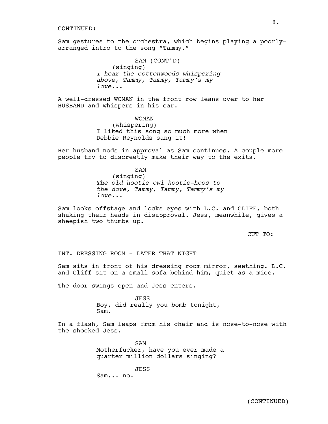Sam gestures to the orchestra, which begins playing a poorlyarranged intro to the song "Tammy."

> SAM (CONT'D) (singing) *I hear the cottonwoods whispering above, Tammy, Tammy, Tammy's my love...*

A well-dressed WOMAN in the front row leans over to her HUSBAND and whispers in his ear.

> WOMAN (whispering) I liked this song so much more when Debbie Reynolds sang it!

Her husband nods in approval as Sam continues. A couple more people try to discreetly make their way to the exits.

> SAM (singing) *The old hootie owl hootie-hoos to the dove, Tammy, Tammy, Tammy's my love...*

Sam looks offstage and locks eyes with L.C. and CLIFF, both shaking their heads in disapproval. Jess, meanwhile, gives a sheepish two thumbs up.

CUT TO:

INT. DRESSING ROOM - LATER THAT NIGHT

Sam sits in front of his dressing room mirror, seething. L.C. and Cliff sit on a small sofa behind him, quiet as a mice.

The door swings open and Jess enters.

JESS Boy, did really you bomb tonight, Sam.

In a flash, Sam leaps from his chair and is nose-to-nose with the shocked Jess.

> SAM Motherfucker, have you ever made a quarter million dollars singing?

> > JESS

Sam... no.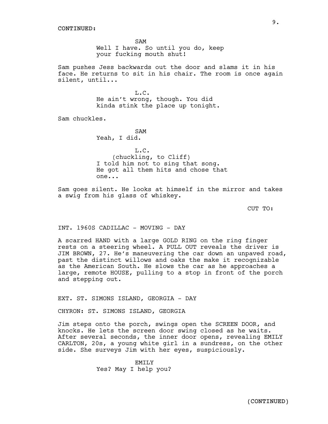SAM Well I have. So until you do, keep your fucking mouth shut!

Sam pushes Jess backwards out the door and slams it in his face. He returns to sit in his chair. The room is once again silent, until...

> L.C. He ain't wrong, though. You did kinda stink the place up tonight.

Sam chuckles.

SAM Yeah, I did.

L.C. (chuckling, to Cliff) I told him not to sing that song. He got all them hits and chose that one...

Sam goes silent. He looks at himself in the mirror and takes a swig from his glass of whiskey.

CUT TO:

INT. 1960S CADILLAC - MOVING - DAY

A scarred HAND with a large GOLD RING on the ring finger rests on a steering wheel. A PULL OUT reveals the driver is JIM BROWN, 27. He's maneuvering the car down an unpaved road, past the distinct willows and oaks the make it recognizable as the American South. He slows the car as he approaches a large, remote HOUSE, pulling to a stop in front of the porch and stepping out.

EXT. ST. SIMONS ISLAND, GEORGIA - DAY

CHYRON: ST. SIMONS ISLAND, GEORGIA

Jim steps onto the porch, swings open the SCREEN DOOR, and knocks. He lets the screen door swing closed as he waits. After several seconds, the inner door opens, revealing EMILY CARLTON, 20s, a young white girl in a sundress, on the other side. She surveys Jim with her eyes, suspiciously.

> EMILY Yes? May I help you?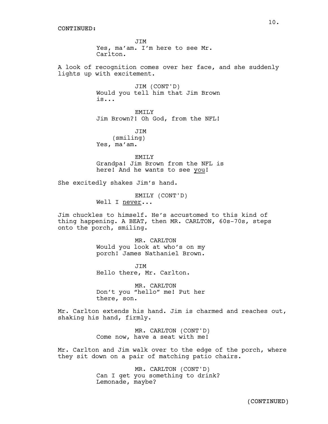**JTM** Yes, ma'am. I'm here to see Mr. Carlton. A look of recognition comes over her face, and she suddenly lights up with excitement. JIM (CONT'D) Would you tell him that Jim Brown is... EMILY Jim Brown?! Oh God, from the NFL! JIM (smiling) Yes, ma'am. EMILY

Grandpa! Jim Brown from the NFL is here! And he wants to see you!

She excitedly shakes Jim's hand.

EMILY (CONT'D) Well I never...

Jim chuckles to himself. He's accustomed to this kind of thing happening. A BEAT, then MR. CARLTON, 60s-70s, steps onto the porch, smiling.

> MR. CARLTON Would you look at who's on my porch! James Nathaniel Brown.

JIM Hello there, Mr. Carlton.

MR. CARLTON Don't you "hello" me! Put her there, son.

Mr. Carlton extends his hand. Jim is charmed and reaches out, shaking his hand, firmly.

> MR. CARLTON (CONT'D) Come now, have a seat with me!

Mr. Carlton and Jim walk over to the edge of the porch, where they sit down on a pair of matching patio chairs.

> MR. CARLTON (CONT'D) Can I get you something to drink? Lemonade, maybe?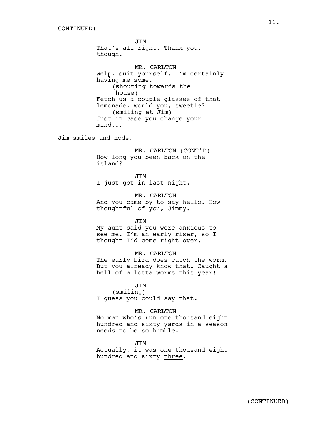JIM That's all right. Thank you, though. MR. CARLTON Welp, suit yourself. I'm certainly having me some. (shouting towards the house) Fetch us a couple glasses of that lemonade, would you, sweetie? (smiling at Jim) Just in case you change your mind... Jim smiles and nods.

> MR. CARLTON (CONT'D) How long you been back on the island?

JIM I just got in last night.

MR. CARLTON And you came by to say hello. How thoughtful of you, Jimmy.

JIM

My aunt said you were anxious to see me. I'm an early riser, so I thought I'd come right over.

MR. CARLTON The early bird does catch the worm.

But you already know that. Caught a hell of a lotta worms this year!

JIM

(smiling) I guess you could say that.

MR. CARLTON

No man who's run one thousand eight hundred and sixty yards in a season needs to be so humble.

JIM Actually, it was one thousand eight hundred and sixty three.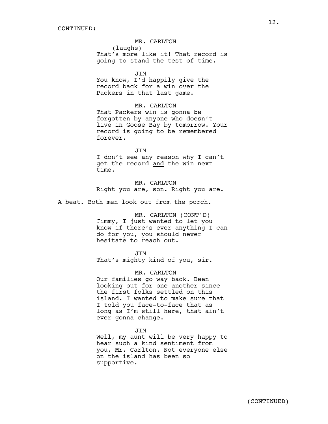MR. CARLTON (laughs) That's more like it! That record is going to stand the test of time.

JIM

You know, I'd happily give the record back for a win over the Packers in that last game.

# MR. CARLTON

That Packers win is gonna be forgotten by anyone who doesn't live in Goose Bay by tomorrow. Your record is going to be remembered forever.

JIM I don't see any reason why I can't get the record and the win next time.

MR. CARLTON Right you are, son. Right you are.

A beat. Both men look out from the porch.

MR. CARLTON (CONT'D) Jimmy, I just wanted to let you know if there's ever anything I can do for you, you should never hesitate to reach out.

**JTM** That's mighty kind of you, sir.

# MR. CARLTON

Our families go way back. Been looking out for one another since the first folks settled on this island. I wanted to make sure that I told you face-to-face that as long as I'm still here, that ain't ever gonna change.

JIM Well, my aunt will be very happy to hear such a kind sentiment from you, Mr. Carlton. Not everyone else on the island has been so supportive.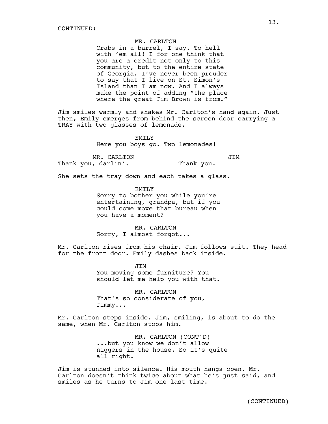### MR. CARLTON

Crabs in a barrel, I say. To hell with 'em all! I for one think that you are a credit not only to this community, but to the entire state of Georgia. I've never been prouder to say that I live on St. Simon's Island than I am now. And I always make the point of adding "the place where the great Jim Brown is from."

Jim smiles warmly and shakes Mr. Carlton's hand again. Just then, Emily emerges from behind the screen door carrying a TRAY with two glasses of lemonade.

Thank you.

EMILY Here you boys go. Two lemonades!

MR. CARLTON Thank you, darlin'.

JIM

She sets the tray down and each takes a glass.

EMILY Sorry to bother you while you're entertaining, grandpa, but if you could come move that bureau when you have a moment?

MR. CARLTON Sorry, I almost forgot...

Mr. Carlton rises from his chair. Jim follows suit. They head for the front door. Emily dashes back inside.

> JIM You moving some furniture? You should let me help you with that.

MR. CARLTON That's so considerate of you, Jimmy...

Mr. Carlton steps inside. Jim, smiling, is about to do the same, when Mr. Carlton stops him.

> MR. CARLTON (CONT'D) ...but you know we don't allow niggers in the house. So it's quite all right.

Jim is stunned into silence. His mouth hangs open. Mr. Carlton doesn't think twice about what he's just said, and smiles as he turns to Jim one last time.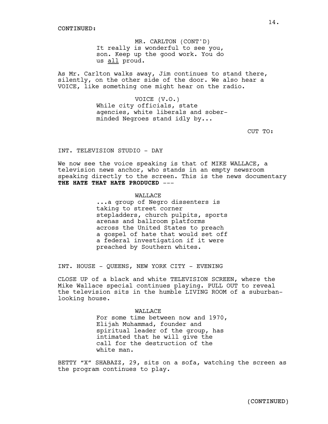CONTINUED:

MR. CARLTON (CONT'D) It really is wonderful to see you, son. Keep up the good work. You do us all proud.

As Mr. Carlton walks away, Jim continues to stand there, silently, on the other side of the door. We also hear a VOICE, like something one might hear on the radio.

> VOICE (V.O.) While city officials, state agencies, white liberals and soberminded Negroes stand idly by...

> > CUT TO:

INT. TELEVISION STUDIO - DAY

We now see the voice speaking is that of MIKE WALLACE, a television news anchor, who stands in an empty newsroom speaking directly to the screen. This is the news documentary **THE HATE THAT HATE PRODUCED** ---

> **WALLACE** ...a group of Negro dissenters is taking to street corner stepladders, church pulpits, sports arenas and ballroom platforms across the United States to preach a gospel of hate that would set off a federal investigation if it were preached by Southern whites.

INT. HOUSE - QUEENS, NEW YORK CITY - EVENING

CLOSE UP of a black and white TELEVISION SCREEN, where the Mike Wallace special continues playing. PULL OUT to reveal the television sits in the humble LIVING ROOM of a suburbanlooking house.

> WALLACE For some time between now and 1970, Elijah Muhammad, founder and spiritual leader of the group, has intimated that he will give the call for the destruction of the white man.

BETTY "X" SHABAZZ, 29, sits on a sofa, watching the screen as the program continues to play.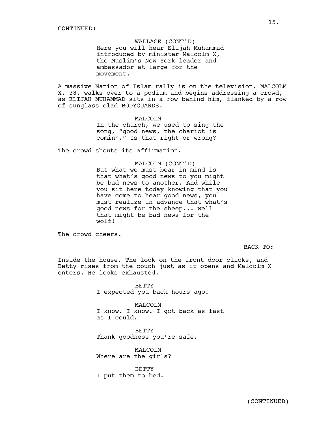WALLACE (CONT'D) Here you will hear Elijah Muhammad introduced by minister Malcolm X, the Muslim's New York leader and ambassador at large for the movement.

A massive Nation of Islam rally is on the television. MALCOLM X, 38, walks over to a podium and begins addressing a crowd, as ELIJAH MUHAMMAD sits in a row behind him, flanked by a row of sunglass-clad BODYGUARDS.

#### MALCOLM

In the church, we used to sing the song, "good news, the chariot is comin'." Is that right or wrong?

The crowd shouts its affirmation.

#### MALCOLM (CONT'D)

But what we must bear in mind is that what's good news to you might be bad news to another. And while you sit here today knowing that you have come to hear good news, you must realize in advance that what's good news for the sheep... well that might be bad news for the wolf!

The crowd cheers.

BACK TO:

Inside the house. The lock on the front door clicks, and Betty rises from the couch just as it opens and Malcolm X enters. He looks exhausted.

> BETTY I expected you back hours ago!

MALCOLM I know. I know. I got back as fast as I could.

BETTY Thank goodness you're safe.

MALCOLM Where are the girls?

BETTY I put them to bed.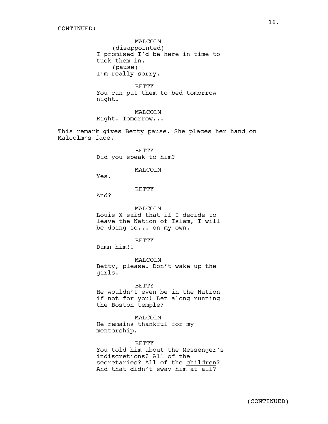MALCOLM (disappointed) I promised I'd be here in time to tuck them in. (pause) I'm really sorry.

BETTY You can put them to bed tomorrow night.

MALCOLM Right. Tomorrow...

This remark gives Betty pause. She places her hand on Malcolm's face.

> BETTY Did you speak to him?

# MALCOLM

Yes.

# BETTY

And?

MALCOLM Louis X said that if I decide to leave the Nation of Islam, I will be doing so... on my own.

BETTY

Damn him!!

MALCOLM Betty, please. Don't wake up the girls.

### BETTY

He wouldn't even be in the Nation if not for you! Let along running the Boston temple?

MALCOLM He remains thankful for my mentorship.

### BETTY

You told him about the Messenger's indiscretions? All of the secretaries? All of the children? And that didn't sway him at all?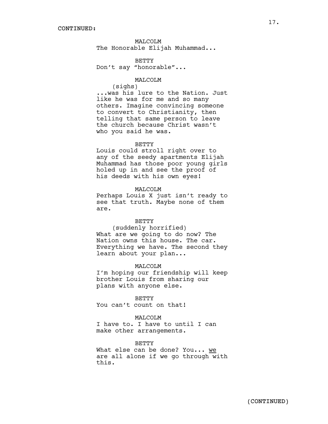MALCOLM The Honorable Elijah Muhammad...

BETTY Don't say "honorable"...

# MALCOLM

(sighs)

...was his lure to the Nation. Just like he was for me and so many others. Imagine convincing someone to convert to Christianity, then telling that same person to leave the church because Christ wasn't who you said he was.

#### BETTY

Louis could stroll right over to any of the seedy apartments Elijah Muhammad has those poor young girls holed up in and see the proof of his deeds with his own eyes!

# MALCOLM

Perhaps Louis X just isn't ready to see that truth. Maybe none of them are.

#### BETTY

# (suddenly horrified)

What are we going to do now? The Nation owns this house. The car. Everything we have. The second they learn about your plan...

### MALCOLM

I'm hoping our friendship will keep brother Louis from sharing our plans with anyone else.

### BETTY

You can't count on that!

# MALCOLM

I have to. I have to until I can make other arrangements.

### BETTY

What else can be done? You... we are all alone if we go through with this.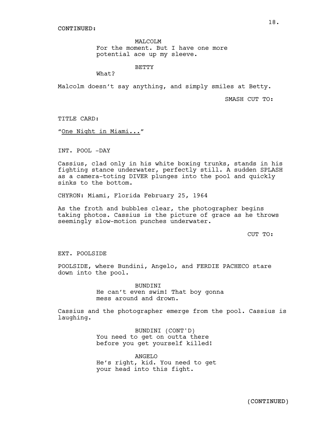MAT<sub>I</sub>COT<sub>I</sub>M For the moment. But I have one more potential ace up my sleeve.

BETTY

What?

Malcolm doesn't say anything, and simply smiles at Betty.

SMASH CUT TO:

TITLE CARD:

"One Night in Miami..."

INT. POOL -DAY

Cassius, clad only in his white boxing trunks, stands in his fighting stance underwater, perfectly still. A sudden SPLASH as a camera-toting DIVER plunges into the pool and quickly sinks to the bottom.

CHYRON: Miami, Florida February 25, 1964

As the froth and bubbles clear, the photographer begins taking photos. Cassius is the picture of grace as he throws seemingly slow-motion punches underwater.

CUT TO:

EXT. POOLSIDE

POOLSIDE, where Bundini, Angelo, and FERDIE PACHECO stare down into the pool.

> BUNDINI He can't even swim! That boy gonna mess around and drown.

Cassius and the photographer emerge from the pool. Cassius is laughing.

> BUNDINI (CONT'D) You need to get on outta there before you get yourself killed!

ANGELO He's right, kid. You need to get your head into this fight.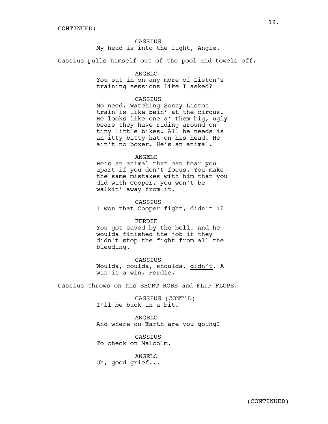CASSIUS My head is into the fight, Angie.

Cassius pulls himself out of the pool and towels off.

# ANGELO

You sat in on any more of Liston's training sessions like I asked?

# CASSIUS

No need. Watching Sonny Liston train is like bein' at the circus. He looks like one a' them big, ugly bears they have riding around on tiny little bikes. All he needs is an itty bitty hat on his head. He ain't no boxer. He's an animal.

#### ANGELO

He's an animal that can tear you apart if you don't focus. You make the same mistakes with him that you did with Cooper, you won't be walkin' away from it.

CASSIUS

I won that Cooper fight, didn't I?

#### FERDIE

You got saved by the bell! And he woulda finished the job if they didn't stop the fight from all the bleeding.

CASSIUS Woulda, coulda, shoulda, didn't. A win is a win, Ferdie.

Cassius throws on his SHORT ROBE and FLIP-FLOPS.

CASSIUS (CONT'D) I'll be back in a bit.

ANGELO And where on Earth are you going?

CASSIUS To check on Malcolm.

ANGELO Oh, good grief...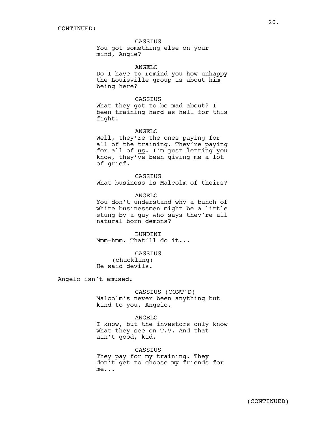CASSIUS

You got something else on your mind, Angie?

ANGELO

Do I have to remind you how unhappy the Louisville group is about him being here?

### CASSIUS

What they got to be mad about? I been training hard as hell for this fight!

### ANGELO

Well, they're the ones paying for all of the training. They're paying for all of us. I'm just letting you know, they've been giving me a lot of grief.

CASSIUS What business is Malcolm of theirs?

ANGELO

You don't understand why a bunch of white businessmen might be a little stung by a guy who says they're all natural born demons?

**BUNDINI** Mmm-hmm. That'll do it...

CASSIUS (chuckling) He said devils.

Angelo isn't amused.

CASSIUS (CONT'D) Malcolm's never been anything but kind to you, Angelo.

### ANGELO

I know, but the investors only know what they see on T.V. And that ain't good, kid.

CASSIUS They pay for my training. They don't get to choose my friends for me...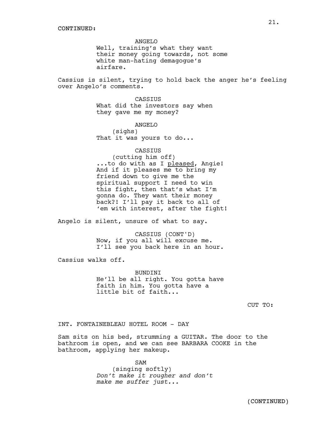ANGELO Well, training's what they want their money going towards, not some white man-hating demagogue's airfare.

Cassius is silent, trying to hold back the anger he's feeling over Angelo's comments.

> CASSIUS What did the investors say when they gave me my money?

ANGELO (sighs) That it was yours to do...

CASSIUS (cutting him off) ...to do with as I pleased, Angie! And if it pleases me to bring my friend down to give me the spiritual support I need to win this fight, then that's what I'm gonna do. They want their money back?! I'll pay it back to all of 'em with interest, after the fight!

Angelo is silent, unsure of what to say.

CASSIUS (CONT'D) Now, if you all will excuse me. I'll see you back here in an hour.

Cassius walks off.

BUNDINI He'll be all right. You gotta have faith in him. You gotta have a little bit of faith...

CUT TO:

INT. FONTAINEBLEAU HOTEL ROOM - DAY

Sam sits on his bed, strumming a GUITAR. The door to the bathroom is open, and we can see BARBARA COOKE in the bathroom, applying her makeup.

> SAM (singing softly) *Don't make it rougher and don't make me suffer just...*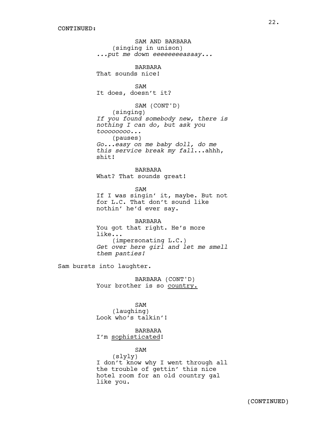SAM AND BARBARA (singing in unison) *...put me down eeeeeeeeasaay...* BARBARA That sounds nice! SAM It does, doesn't it? SAM (CONT'D) (singing) *If you found somebody new, there is nothing I can do, but ask you toooooooo...* (pauses) *Go...easy on me baby doll, do me this service break my fall*...ahhh, shit! BARBARA What? That sounds great! SAM If I was singin' it, maybe. But not for L.C. That don't sound like nothin' he'd ever say. BARBARA You got that right. He's more like... (impersonating L.C.) *Get over here girl and let me smell them panties!* Sam bursts into laughter.

> BARBARA (CONT'D) Your brother is so country.

SAM (laughing) Look who's talkin'!

BARBARA I'm sophisticated!

SAM (slyly) I don't know why I went through all the trouble of gettin' this nice hotel room for an old country gal like you.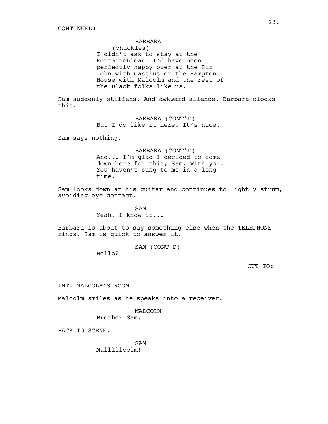# BARBARA

(chuckles) I didn't ask to stay at the Fontainebleau! I'd have been perfectly happy over at the Sir John with Cassius or the Hampton House with Malcolm and the rest of the Black folks like us.

Sam suddenly stiffens. And awkward silence. Barbara clocks this.

> BARBARA (CONT'D) But I do like it here. It's nice.

Sam says nothing.

BARBARA (CONT'D) And... I'm glad I decided to come down here for this, Sam. With you. You haven't sung to me in a long time.

Sam looks down at his guitar and continues to lightly strum, avoiding eye contact.

> SAM Yeah, I know it...

Barbara is about to say something else when the TELEPHONE rings. Sam is quick to answer it.

SAM (CONT'D)

Hello?

CUT TO:

INT. MALCOLM'S ROOM

Malcolm smiles as he speaks into a receiver.

MALCOLM

Brother Sam.

BACK TO SCENE.

SAM Malllllcolm!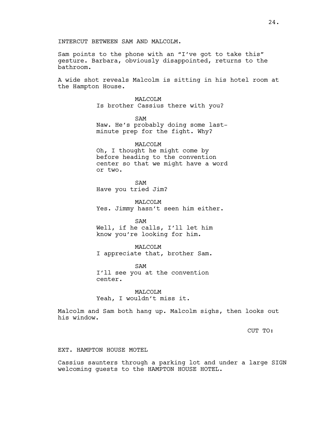INTERCUT BETWEEN SAM AND MALCOLM.

Sam points to the phone with an "I've got to take this" gesture. Barbara, obviously disappointed, returns to the bathroom.

A wide shot reveals Malcolm is sitting in his hotel room at the Hampton House.

> MALCOLM Is brother Cassius there with you?

SAM Naw. He's probably doing some lastminute prep for the fight. Why?

# MALCOLM

Oh, I thought he might come by before heading to the convention center so that we might have a word or two.

SAM

Have you tried Jim?

MALCOLM Yes. Jimmy hasn't seen him either.

SAM Well, if he calls, I'll let him know you're looking for him.

# MALCOLM

I appreciate that, brother Sam.

SAM I'll see you at the convention center.

MALCOLM Yeah, I wouldn't miss it.

Malcolm and Sam both hang up. Malcolm sighs, then looks out his window.

CUT TO:

### EXT. HAMPTON HOUSE MOTEL

Cassius saunters through a parking lot and under a large SIGN welcoming guests to the HAMPTON HOUSE HOTEL.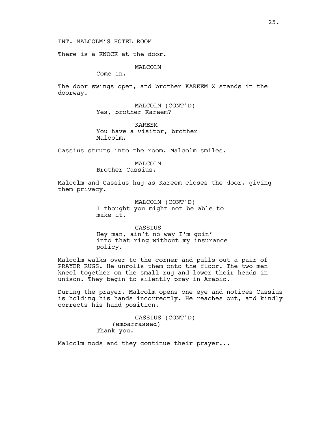There is a KNOCK at the door.

MALCOLM

Come in.

The door swings open, and brother KAREEM X stands in the doorway.

> MALCOLM (CONT'D) Yes, brother Kareem?

KAREEM You have a visitor, brother Malcolm.

Cassius struts into the room. Malcolm smiles.

# MAT<sub>I</sub>COT<sub>I</sub>M

Brother Cassius.

Malcolm and Cassius hug as Kareem closes the door, giving them privacy.

> MALCOLM (CONT'D) I thought you might not be able to make it.

> > **CASSIUS**

Hey man, ain't no way I'm goin' into that ring without my insurance policy.

Malcolm walks over to the corner and pulls out a pair of PRAYER RUGS. He unrolls them onto the floor. The two men kneel together on the small rug and lower their heads in unison. They begin to silently pray in Arabic.

During the prayer, Malcolm opens one eye and notices Cassius is holding his hands incorrectly. He reaches out, and kindly corrects his hand position.

> CASSIUS (CONT'D) (embarrassed) Thank you.

Malcolm nods and they continue their prayer...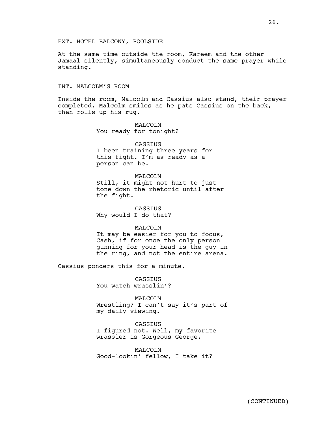At the same time outside the room, Kareem and the other Jamaal silently, simultaneously conduct the same prayer while standing.

# INT. MALCOLM'S ROOM

Inside the room, Malcolm and Cassius also stand, their prayer completed. Malcolm smiles as he pats Cassius on the back, then rolls up his rug.

> MAT<sub>I</sub>COT<sub>I</sub>M You ready for tonight?

# CASSIUS

I been training three years for this fight. I'm as ready as a person can be.

### MALCOLM

Still, it might not hurt to just tone down the rhetoric until after the fight.

CASSIUS Why would I do that?

### MALCOLM

It may be easier for you to focus, Cash, if for once the only person gunning for your head is the guy in the ring, and not the entire arena.

Cassius ponders this for a minute.

CASSIUS You watch wrasslin'?

# MALCOLM

Wrestling? I can't say it's part of my daily viewing.

# CASSIUS

I figured not. Well, my favorite wrassler is Gorgeous George.

MALCOLM Good-lookin' fellow, I take it?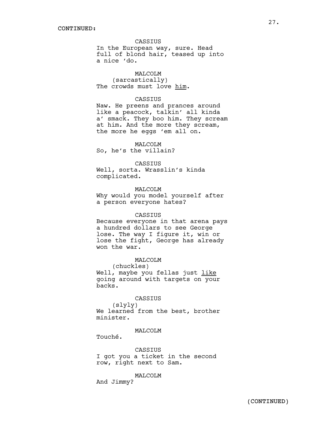# CASSIUS

In the European way, sure. Head full of blond hair, teased up into a nice 'do.

MALCOLM (sarcastically) The crowds must love him.

# CASSIUS

Naw. He preens and prances around like a peacock, talkin' all kinda a' smack. They boo him. They scream at him. And the more they scream, the more he eggs 'em all on.

MALCOLM So, he's the villain?

### CASSIUS

Well, sorta. Wrasslin's kinda complicated.

#### MALCOLM

Why would you model yourself after a person everyone hates?

## CASSIUS

Because everyone in that arena pays a hundred dollars to see George lose. The way I figure it, win or lose the fight, George has already won the war.

# MALCOLM

(chuckles) Well, maybe you fellas just like going around with targets on your backs.

### CASSIUS

(slyly) We learned from the best, brother minister.

# MALCOLM

Touché.

CASSIUS I got you a ticket in the second row, right next to Sam.

# MALCOLM

And Jimmy?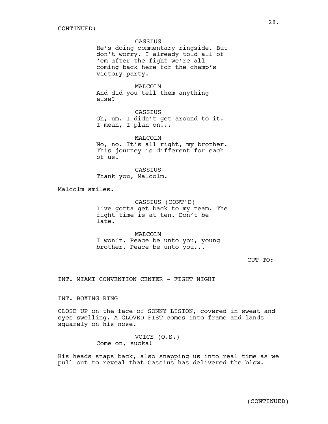CASSIUS

He's doing commentary ringside. But don't worry. I already told all of 'em after the fight we're all coming back here for the champ's victory party.

MALCOLM And did you tell them anything else?

CASSIUS Oh, um. I didn't get around to it. I mean, I plan on...

MALCOLM No, no. It's all right, my brother. This journey is different for each of us.

CASSIUS Thank you, Malcolm.

Malcolm smiles.

CASSIUS (CONT'D) I've gotta get back to my team. The fight time is at ten. Don't be late.

MALCOLM I won't. Peace be unto you, young brother. Peace be unto you...

CUT TO:

INT. MIAMI CONVENTION CENTER - FIGHT NIGHT

INT. BOXING RING

CLOSE UP on the face of SONNY LISTON, covered in sweat and eyes swelling. A GLOVED FIST comes into frame and lands squarely on his nose.

> VOICE (O.S.) Come on, sucka!

His heads snaps back, also snapping us into real time as we pull out to reveal that Cassius has delivered the blow.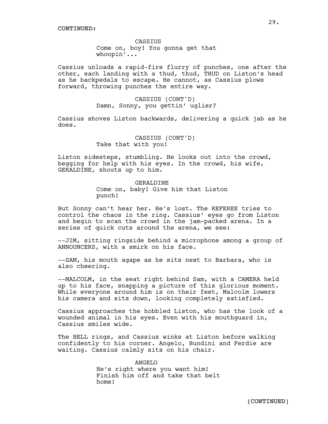CASSIUS Come on, boy! You gonna get that whoopin'...

Cassius unloads a rapid-fire flurry of punches, one after the other, each landing with a thud, thud, THUD on Liston's head as he backpedals to escape. He cannot, as Cassius plows forward, throwing punches the entire way.

> CASSIUS (CONT'D) Damn, Sonny, you gettin' uglier?

Cassius shoves Liston backwards, delivering a quick jab as he does.

> CASSIUS (CONT'D) Take that with you!

Liston sidesteps, stumbling. He looks out into the crowd, begging for help with his eyes. In the crowd, his wife, GERALDINE, shouts up to him.

**GERALDINE** 

Come on, baby! Give him that Liston punch!

But Sonny can't hear her. He's lost. The REFEREE tries to control the chaos in the ring. Cassius' eyes go from Liston and begin to scan the crowd in the jam-packed arena. In a series of quick cuts around the arena, we see:

--JIM, sitting ringside behind a microphone among a group of ANNOUNCERS, with a smirk on his face.

--SAM, his mouth agape as he sits next to Barbara, who is also cheering.

--MALCOLM, in the seat right behind Sam, with a CAMERA held up to his face, snapping a picture of this glorious moment. While everyone around him is on their feet, Malcolm lowers his camera and sits down, looking completely satisfied.

Cassius approaches the hobbled Liston, who has the look of a wounded animal in his eyes. Even with his mouthguard in, Cassius smiles wide.

The BELL rings, and Cassius winks at Liston before walking confidently to his corner. Angelo, Bundini and Ferdie are waiting. Cassius calmly sits on his chair.

> ANGELO He's right where you want him! Finish him off and take that belt home!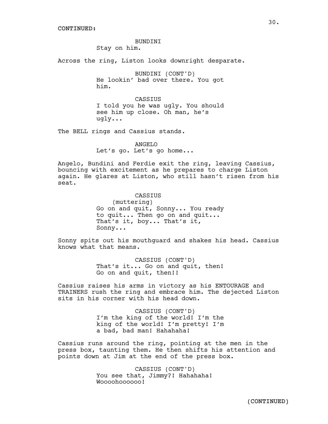**BUNDINI** 

Stay on him.

Across the ring, Liston looks downright desparate.

BUNDINI (CONT'D) He lookin' bad over there. You got him.

CASSIUS I told you he was ugly. You should see him up close. Oh man, he's ugly...

The BELL rings and Cassius stands.

ANGELO Let's go. Let's go home...

Angelo, Bundini and Ferdie exit the ring, leaving Cassius, bouncing with excitement as he prepares to charge Liston again. He glares at Liston, who still hasn't risen from his seat.

> CASSIUS (muttering) Go on and quit, Sonny... You ready to quit... Then go on and quit... That's it, boy... That's it, Sonny...

Sonny spits out his mouthguard and shakes his head. Cassius knows what that means.

> CASSIUS (CONT'D) That's it... Go on and quit, then! Go on and quit, then!!

Cassius raises his arms in victory as his ENTOURAGE and TRAINERS rush the ring and embrace him. The dejected Liston sits in his corner with his head down.

> CASSIUS (CONT'D) I'm the king of the world! I'm the king of the world! I'm pretty! I'm a bad, bad man! Hahahaha!

Cassius runs around the ring, pointing at the men in the press box, taunting them. He then shifts his attention and points down at Jim at the end of the press box.

> CASSIUS (CONT'D) You see that, Jimmy?! Hahahaha! Woooohoooooo!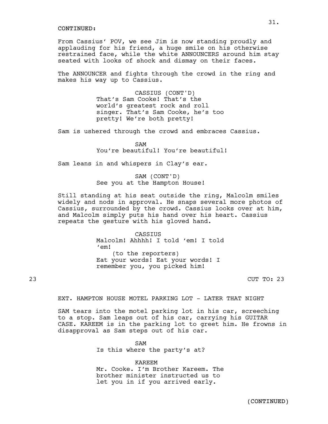#### CONTINUED:

From Cassius' POV, we see Jim is now standing proudly and applauding for his friend, a huge smile on his otherwise restrained face, while the white ANNOUNCERS around him stay seated with looks of shock and dismay on their faces.

The ANNOUNCER and fights through the crowd in the ring and makes his way up to Cassius.

> CASSIUS (CONT'D) That's Sam Cooke! That's the world's greatest rock and roll singer. That's Sam Cooke, he's too pretty! We're both pretty!

Sam is ushered through the crowd and embraces Cassius.

SAM You're beautiful! You're beautiful!

Sam leans in and whispers in Clay's ear.

SAM (CONT'D) See you at the Hampton House!

Still standing at his seat outside the ring, Malcolm smiles widely and nods in approval. He snaps several more photos of Cassius, surrounded by the crowd. Cassius looks over at him, and Malcolm simply puts his hand over his heart. Cassius repeats the gesture with his gloved hand.

> CASSIUS Malcolm! Ahhhh! I told 'em! I told 'em! (to the reporters) Eat your words! Eat your words! I remember you, you picked him!

23 CUT TO: 23

EXT. HAMPTON HOUSE MOTEL PARKING LOT - LATER THAT NIGHT

SAM tears into the motel parking lot in his car, screeching to a stop. Sam leaps out of his car, carrying his GUITAR CASE. KAREEM is in the parking lot to greet him. He frowns in disapproval as Sam steps out of his car.

> SAM Is this where the party's at?

KAREEM Mr. Cooke. I'm Brother Kareem. The brother minister instructed us to let you in if you arrived early.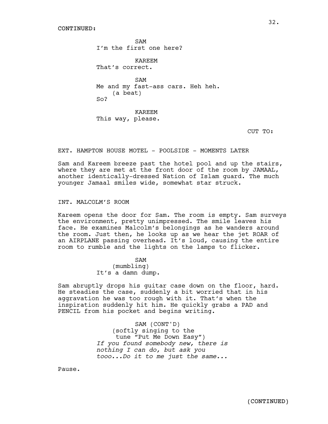SAM I'm the first one here? KAREEM That's correct. SAM Me and my fast-ass cars. Heh heh. (a beat) So? KAREEM This way, please.

CUT TO:

EXT. HAMPTON HOUSE MOTEL - POOLSIDE - MOMENTS LATER

Sam and Kareem breeze past the hotel pool and up the stairs, where they are met at the front door of the room by JAMAAL, another identically-dressed Nation of Islam guard. The much younger Jamaal smiles wide, somewhat star struck.

INT. MALCOLM'S ROOM

Kareem opens the door for Sam. The room is empty. Sam surveys the environment, pretty unimpressed. The smile leaves his face. He examines Malcolm's belongings as he wanders around the room. Just then, he looks up as we hear the jet ROAR of an AIRPLANE passing overhead. It's loud, causing the entire room to rumble and the lights on the lamps to flicker.

> SAM (mumbling) It's a damn dump.

Sam abruptly drops his guitar case down on the floor, hard. He steadies the case, suddenly a bit worried that in his aggravation he was too rough with it. That's when the inspiration suddenly hit him. He quickly grabs a PAD and PENCIL from his pocket and begins writing.

> SAM (CONT'D) (softly singing to the tune "Put Me Down Easy") *If you found somebody new, there is nothing I can do, but ask you tooo...Do it to me just the same...*

Pause.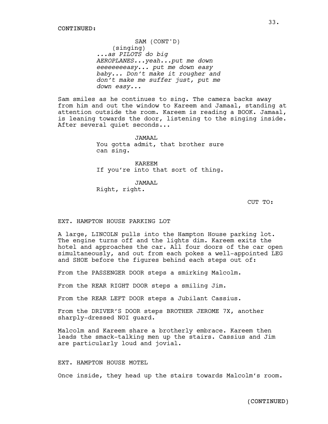SAM (CONT'D) (singing) *...as PILOTS do big AEROPLANES...yeah...put me down eeeeeeeeasy... put me down easy baby... Don't make it rougher and don't make me suffer just, put me down easy...*

Sam smiles as he continues to sing. The camera backs away from him and out the window to Kareem and Jamaal, standing at attention outside the room. Kareem is reading a BOOK. Jamaal, is leaning towards the door, listening to the singing inside. After several quiet seconds...

> JAMAAL You gotta admit, that brother sure can sing.

> KAREEM If you're into that sort of thing.

JAMAAL Right, right.

CUT TO:

### EXT. HAMPTON HOUSE PARKING LOT

A large, LINCOLN pulls into the Hampton House parking lot. The engine turns off and the lights dim. Kareem exits the hotel and approaches the car. All four doors of the car open simultaneously, and out from each pokes a well-appointed LEG and SHOE before the figures behind each steps out of:

From the PASSENGER DOOR steps a smirking Malcolm.

From the REAR RIGHT DOOR steps a smiling Jim.

From the REAR LEFT DOOR steps a Jubilant Cassius.

From the DRIVER'S DOOR steps BROTHER JEROME 7X, another sharply-dressed NOI guard.

Malcolm and Kareem share a brotherly embrace. Kareem then leads the smack-talking men up the stairs. Cassius and Jim are particularly loud and jovial.

# EXT. HAMPTON HOUSE MOTEL

Once inside, they head up the stairs towards Malcolm's room.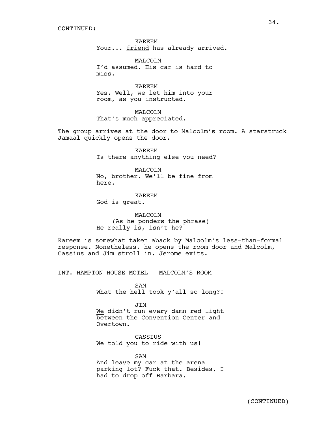### CONTINUED:

KAREEM Your... friend has already arrived.

MALCOLM I'd assumed. His car is hard to miss.

KAREEM Yes. Well, we let him into your room, as you instructed.

MALCOLM That's much appreciated.

The group arrives at the door to Malcolm's room. A starstruck Jamaal quickly opens the door.

> KAREEM Is there anything else you need?

MALCOLM No, brother. We'll be fine from here.

KAREEM God is great.

MALCOLM (As he ponders the phrase) He really is, isn't he?

Kareem is somewhat taken aback by Malcolm's less-than-formal response. Nonetheless, he opens the room door and Malcolm, Cassius and Jim stroll in. Jerome exits.

INT. HAMPTON HOUSE MOTEL - MALCOLM'S ROOM

SAM What the hell took y'all so long?!

JIM We didn't run every damn red light between the Convention Center and Overtown.

CASSIUS We told you to ride with us!

SAM And leave my car at the arena parking lot? Fuck that. Besides, I had to drop off Barbara.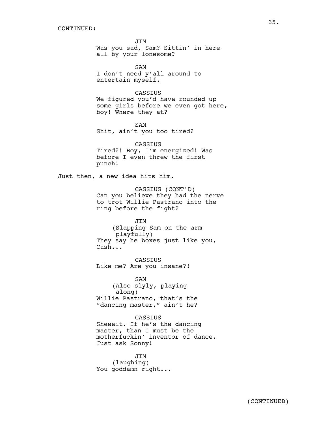JIM Was you sad, Sam? Sittin' in here all by your lonesome?

SAM I don't need y'all around to entertain myself.

CASSIUS We figured you'd have rounded up some girls before we even got here,

SAM Shit, ain't you too tired?

boy! Where they at?

CASSIUS Tired?! Boy, I'm energized! Was before I even threw the first punch!

Just then, a new idea hits him.

CASSIUS (CONT'D) Can you believe they had the nerve to trot Willie Pastrano into the ring before the fight?

JIM (Slapping Sam on the arm playfully) They say he boxes just like you, Cash...

CASSIUS Like me? Are you insane?!

SAM (Also slyly, playing along) Willie Pastrano, that's the "dancing master," ain't he?

CASSIUS Sheeeit. If he's the dancing master, than I must be the motherfuckin' inventor of dance. Just ask Sonny!

JIM (laughing) You goddamn right...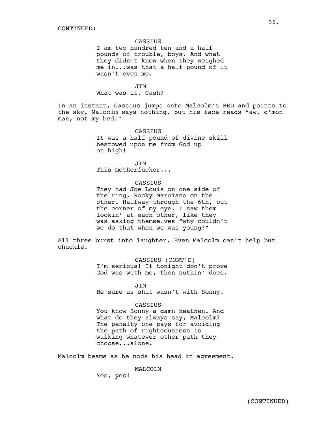# CASSIUS

I am two hundred ten and a half pounds of trouble, boys. And what they didn't know when they weighed me in...was that a half pound of it wasn't even me.

### JIM

# What was it, Cash?

In an instant, Cassius jumps onto Malcolm's BED and points to the sky. Malcolm says nothing, but his face reads "aw, c'mon man, not my bed!"

# CASSIUS It was a half pound of divine skill bestowed upon me from God up on high!

JIM This motherfucker...

# CASSIUS

They had Joe Louis on one side of the ring, Rocky Marciano on the other. Halfway through the 6th, out the corner of my eye, I saw them lookin' at each other, like they was asking themselves "why couldn't we do that when we was young?"

All three burst into laughter. Even Malcolm can't help but chuckle.

> CASSIUS (CONT'D) I'm serious! If tonight don't prove God was with me, then nuthin' does.

JIM He sure as shit wasn't with Sonny.

#### CASSIUS

You know Sonny a damn heathen. And what do they always say, Malcolm? The penalty one pays for avoiding the path of righteousness is walking whatever other path they choose...alone.

Malcolm beams as he nods his head in agreement.

## MALCOLM

Yes, yes!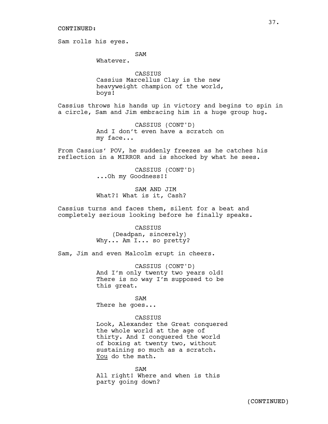#### CONTINUED:

Sam rolls his eyes.

SAM

Whatever.

CASSIUS Cassius Marcellus Clay is the new heavyweight champion of the world, boys!

Cassius throws his hands up in victory and begins to spin in a circle, Sam and Jim embracing him in a huge group hug.

> CASSIUS (CONT'D) And I don't even have a scratch on my face...

From Cassius' POV, he suddenly freezes as he catches his reflection in a MIRROR and is shocked by what he sees.

> CASSIUS (CONT'D) ...Oh my Goodness!!

SAM AND JIM What?! What is it, Cash?

Cassius turns and faces them, silent for a beat and completely serious looking before he finally speaks.

> CASSIUS (Deadpan, sincerely) Why... Am I... so pretty?

Sam, Jim and even Malcolm erupt in cheers.

CASSIUS (CONT'D) And I'm only twenty two years old! There is no way I'm supposed to be this great.

SAM There he goes...

### CASSIUS

Look, Alexander the Great conquered the whole world at the age of thirty. And I conquered the world of boxing at twenty two, without sustaining so much as a scratch. You do the math.

SAM All right! Where and when is this party going down?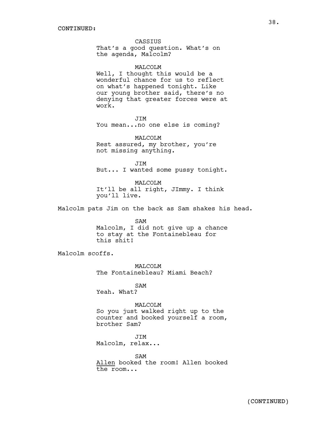CASSIUS That's a good question. What's on the agenda, Malcolm?

## MALCOLM

Well, I thought this would be a wonderful chance for us to reflect on what's happened tonight. Like our young brother said, there's no denying that greater forces were at work.

JIM You mean...no one else is coming?

MALCOLM Rest assured, my brother, you're not missing anything.

JIM But... I wanted some pussy tonight.

MALCOLM It'll be all right, JImmy. I think you'll live.

Malcolm pats Jim on the back as Sam shakes his head.

SAM Malcolm, I did not give up a chance to stay at the Fontainebleau for this shit!

Malcolm scoffs.

MAT<sub>I</sub>COT<sub>I</sub>M The Fontainebleau? Miami Beach?

SAM Yeah. What?

MALCOLM So you just walked right up to the counter and booked yourself a room, brother Sam?

JIM Malcolm, relax...

SAM Allen booked the room! Allen booked the room...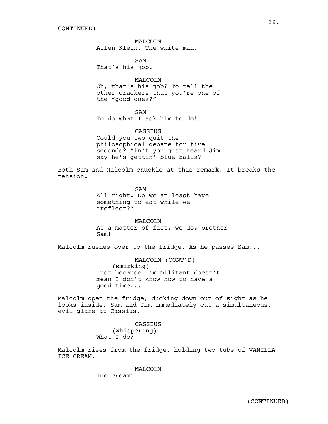MAT<sub>I</sub>COT<sub>I</sub>M Allen Klein. The white man.

SAM That's his job.

MALCOLM Oh, that's his job? To tell the other crackers that you're one of the "good ones?"

SAM To do what I ask him to do!

CASSIUS Could you two quit the philosophical debate for five seconds? Ain't you just heard Jim say he's gettin' blue balls?

Both Sam and Malcolm chuckle at this remark. It breaks the tension.

> SAM All right. Do we at least have something to eat while we "reflect?"

MALCOLM As a matter of fact, we do, brother Sam!

Malcolm rushes over to the fridge. As he passes Sam...

MALCOLM (CONT'D) (smirking) Just because I'm militant doesn't mean I don't know how to have a good time...

Malcolm open the fridge, ducking down out of sight as he looks inside. Sam and Jim immediately cut a simultaneous, evil glare at Cassius.

> CASSIUS (whispering) What I do?

Malcolm rises from the fridge, holding two tubs of VANILLA ICE CREAM.

MALCOLM

Ice cream!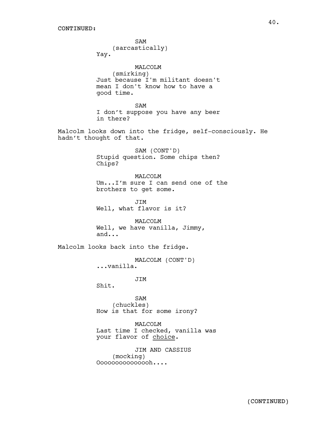SAM (sarcastically) Yay. MALCOLM (smirking) Just because I'm militant doesn't mean I don't know how to have a good time. SAM I don't suppose you have any beer in there? Malcolm looks down into the fridge, self-consciously. He hadn't thought of that. SAM (CONT'D) Stupid question. Some chips then? Chips? MALCOLM Um...I'm sure I can send one of the brothers to get some. JIM Well, what flavor is it? MALCOLM Well, we have vanilla, Jimmy, and... Malcolm looks back into the fridge. MALCOLM (CONT'D) ...vanilla. JIM Shit. SAM (chuckles) How is that for some irony? MALCOLM Last time I checked, vanilla was your flavor of choice. JIM AND CASSIUS (mocking) Ooooooooooooooh....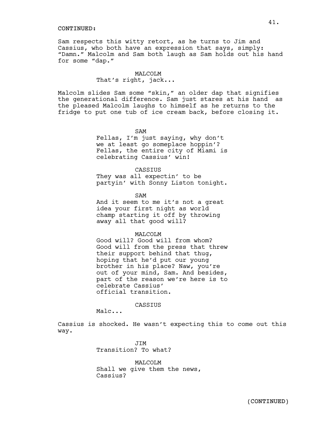### CONTINUED:

Sam respects this witty retort, as he turns to Jim and Cassius, who both have an expression that says, simply: "Damn." Malcolm and Sam both laugh as Sam holds out his hand for some "dap."

## MALCOLM

# That's right, jack...

Malcolm slides Sam some "skin," an older dap that signifies the generational difference. Sam just stares at his hand as the pleased Malcolm laughs to himself as he returns to the fridge to put one tub of ice cream back, before closing it.

SAM

Fellas, I'm just saying, why don't we at least go someplace hoppin'? Fellas, the entire city of Miami is celebrating Cassius' win!

CASSIUS They was all expectin' to be partyin' with Sonny Liston tonight.

SAM

And it seem to me it's not a great idea your first night as world champ starting it off by throwing away all that good will?

## MALCOLM

Good will? Good will from whom? Good will from the press that threw their support behind that thug, hoping that he'd put our young brother in his place? Naw, you're out of your mind, Sam. And besides, part of the reason we're here is to celebrate Cassius' official transition.

### CASSIUS

Malc...

Cassius is shocked. He wasn't expecting this to come out this way.

> JIM Transition? To what?

MALCOLM Shall we give them the news, Cassius?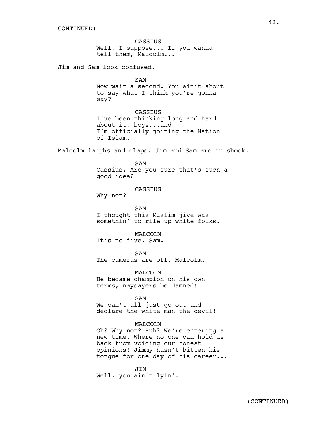CASSIUS Well, I suppose... If you wanna tell them, Malcolm...

Jim and Sam look confused.

SAM Now wait a second. You ain't about to say what I think you're gonna say?

CASSIUS I've been thinking long and hard about it, boys...and I'm officially joining the Nation of Islam.

Malcolm laughs and claps. Jim and Sam are in shock.

SAM Cassius. Are you sure that's such a good idea?

CASSIUS

Why not?

SAM I thought this Muslim jive was somethin' to rile up white folks.

MALCOLM

It's no jive, Sam.

SAM

The cameras are off, Malcolm.

MALCOLM He became champion on his own terms, naysayers be damned!

SAM

We can't all just go out and declare the white man the devil!

## MALCOLM

Oh? Why not? Huh? We're entering a new time. Where no one can hold us back from voicing our honest opinions! Jimmy hasn't bitten his tongue for one day of his career...

JIM Well, you ain't lyin'.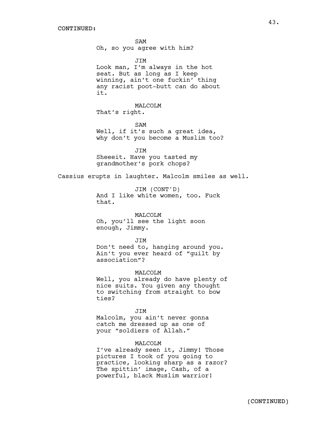SAM Oh, so you agree with him?

JIM

Look man, I'm always in the hot seat. But as long as I keep winning, ain't one fuckin' thing any racist poot-butt can do about it. MALCOLM That's right. SAM Well, if it's such a great idea, why don't you become a Muslim too?

JIM Sheeeit. Have you tasted my grandmother's pork chops?

Cassius erupts in laughter. Malcolm smiles as well.

JIM (CONT'D) And I like white women, too. Fuck that.

MALCOLM Oh, you'll see the light soon enough, Jimmy.

JIM Don't need to, hanging around you. Ain't you ever heard of "guilt by association"?

MALCOLM

Well, you already do have plenty of nice suits. You given any thought to switching from straight to bow ties?

JIM Malcolm, you ain't never gonna catch me dressed up as one of your "soldiers of Allah."

# MALCOLM

I've already seen it, Jimmy! Those pictures I took of you going to practice, looking sharp as a razor? The spittin' image, Cash, of a powerful, black Muslim warrior!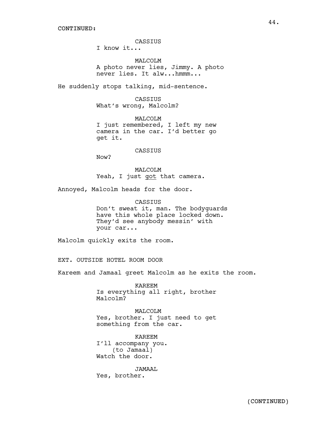CASSIUS I know it...

MALCOLM A photo never lies, Jimmy. A photo never lies. It alw...hmmm...

He suddenly stops talking, mid-sentence.

CASSIUS What's wrong, Malcolm?

MALCOLM I just remembered, I left my new camera in the car. I'd better go get it.

CASSIUS

Now?

MALCOLM Yeah, I just got that camera.

Annoyed, Malcolm heads for the door.

## CASSIUS

Don't sweat it, man. The bodyguards have this whole place locked down. They'd see anybody messin' with your car...

Malcolm quickly exits the room.

EXT. OUTSIDE HOTEL ROOM DOOR

Kareem and Jamaal greet Malcolm as he exits the room.

KAREEM Is everything all right, brother Malcolm?

MALCOLM Yes, brother. I just need to get something from the car.

KAREEM I'll accompany you. (to Jamaal) Watch the door.

JAMAAL Yes, brother.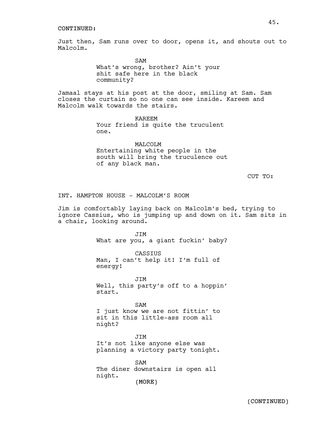### CONTINUED:

Just then, Sam runs over to door, opens it, and shouts out to Malcolm.

> SAM What's wrong, brother? Ain't your shit safe here in the black community?

Jamaal stays at his post at the door, smiling at Sam. Sam closes the curtain so no one can see inside. Kareem and Malcolm walk towards the stairs.

> KAREEM Your friend is quite the truculent one.

MALCOLM Entertaining white people in the south will bring the truculence out of any black man.

CUT TO:

INT. HAMPTON HOUSE - MALCOLM'S ROOM

Jim is comfortably laying back on Malcolm's bed, trying to ignore Cassius, who is jumping up and down on it. Sam sits in a chair, looking around.

> JIM What are you, a giant fuckin' baby?

CASSIUS Man, I can't help it! I'm full of energy!

JIM Well, this party's off to a hoppin' start.

SAM I just know we are not fittin' to sit in this little-ass room all night?

**JTM** It's not like anyone else was planning a victory party tonight.

(MORE) SAM The diner downstairs is open all night.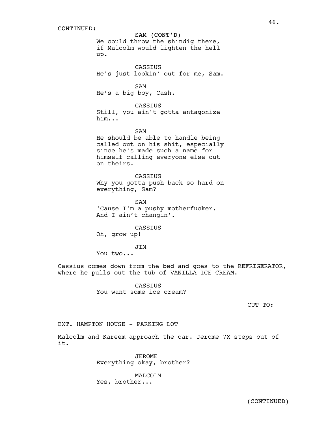# SAM (CONT'D)

We could throw the shindig there, if Malcolm would lighten the hell up.

CASSIUS He's just lookin' out for me, Sam.

SAM

He's a big boy, Cash.

CASSIUS Still, you ain't gotta antagonize him...

SAM

He should be able to handle being called out on his shit, especially since he's made such a name for himself calling everyone else out on theirs.

CASSIUS Why you gotta push back so hard on everything, Sam?

SAM 'Cause I'm a pushy motherfucker. And I ain't changin'.

CASSIUS Oh, grow up!

JIM

You two...

Cassius comes down from the bed and goes to the REFRIGERATOR, where he pulls out the tub of VANILLA ICE CREAM.

> CASSIUS You want some ice cream?

> > CUT TO:

EXT. HAMPTON HOUSE - PARKING LOT

Malcolm and Kareem approach the car. Jerome 7X steps out of it.

> JEROME Everything okay, brother?

MALCOLM Yes, brother...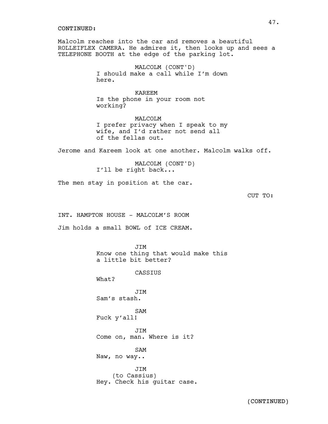Malcolm reaches into the car and removes a beautiful ROLLEIFLEX CAMERA. He admires it, then looks up and sees a TELEPHONE BOOTH at the edge of the parking lot.

> MALCOLM (CONT'D) I should make a call while I'm down here.

KAREEM Is the phone in your room not working?

MALCOLM I prefer privacy when I speak to my wife, and I'd rather not send all of the fellas out.

Jerome and Kareem look at one another. Malcolm walks off.

MALCOLM (CONT'D) I'll be right back...

The men stay in position at the car.

CUT TO:

INT. HAMPTON HOUSE - MALCOLM'S ROOM

Jim holds a small BOWL of ICE CREAM.

JIM Know one thing that would make this a little bit better?

CASSIUS

What?

JIM Sam's stash.

SAM Fuck y'all!

JIM Come on, man. Where is it?

SAM Naw, no way..

JIM (to Cassius) Hey. Check his guitar case.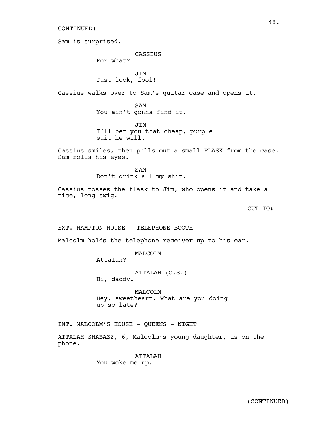### CONTINUED:

Sam is surprised.

# CASSIUS

For what?

JIM Just look, fool!

Cassius walks over to Sam's guitar case and opens it.

SAM You ain't gonna find it.

JIM I'll bet you that cheap, purple suit he will.

Cassius smiles, then pulls out a small FLASK from the case. Sam rolls his eyes.

> SAM Don't drink all my shit.

Cassius tosses the flask to Jim, who opens it and take a nice, long swig.

CUT TO:

EXT. HAMPTON HOUSE - TELEPHONE BOOTH

Malcolm holds the telephone receiver up to his ear.

# MALCOLM

Attalah?

ATTALAH (O.S.) Hi, daddy.

MALCOLM Hey, sweetheart. What are you doing up so late?

INT. MALCOLM'S HOUSE - QUEENS - NIGHT

ATTALAH SHABAZZ, 6, Malcolm's young daughter, is on the phone.

> ATTALAH You woke me up.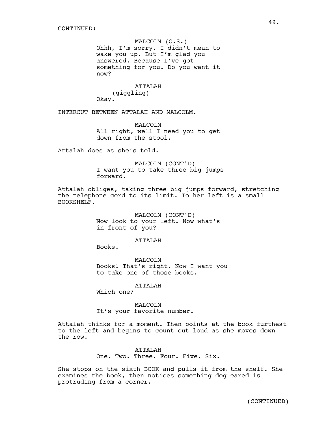MALCOLM (O.S.) Ohhh, I'm sorry. I didn't mean to wake you up. But I'm glad you answered. Because I've got something for you. Do you want it now?

ATTALAH

(giggling) Okay.

INTERCUT BETWEEN ATTALAH AND MALCOLM.

MALCOLM All right, well I need you to get down from the stool.

Attalah does as she's told.

MALCOLM (CONT'D) I want you to take three big jumps forward.

Attalah obliges, taking three big jumps forward, stretching the telephone cord to its limit. To her left is a small BOOKSHELF.

> MALCOLM (CONT'D) Now look to your left. Now what's in front of you?

## ATTALAH

Books.

MALCOLM Books! That's right. Now I want you to take one of those books.

ATTALAH

Which one?

MALCOLM It's your favorite number.

Attalah thinks for a moment. Then points at the book furthest to the left and begins to count out loud as she moves down the row.

> ATTALAH One. Two. Three. Four. Five. Six.

She stops on the sixth BOOK and pulls it from the shelf. She examines the book, then notices something dog-eared is protruding from a corner.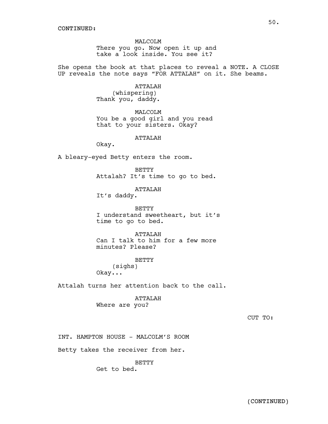MALCOLM There you go. Now open it up and take a look inside. You see it?

She opens the book at that places to reveal a NOTE. A CLOSE UP reveals the note says "FOR ATTALAH" on it. She beams.

> ATTALAH (whispering)

Thank you, daddy.

MALCOLM You be a good girl and you read that to your sisters. Okay?

## ATTALAH

Okay.

A bleary-eyed Betty enters the room.

BETTY Attalah? It's time to go to bed.

ATTALAH

It's daddy.

BETTY I understand sweetheart, but it's time to go to bed.

ATTALAH Can I talk to him for a few more minutes? Please?

BETTY (sighs) Okay...

Attalah turns her attention back to the call.

ATTALAH Where are you?

CUT TO:

INT. HAMPTON HOUSE - MALCOLM'S ROOM

Betty takes the receiver from her.

BETTY Get to bed.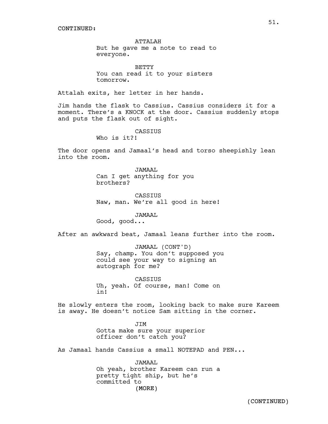ATTALAH But he gave me a note to read to everyone.

BETTY You can read it to your sisters tomorrow.

Attalah exits, her letter in her hands.

Jim hands the flask to Cassius. Cassius considers it for a moment. There's a KNOCK at the door. Cassius suddenly stops and puts the flask out of sight.

CASSIUS

Who is it?!

The door opens and Jamaal's head and torso sheepishly lean into the room.

> JAMAAL Can I get anything for you brothers?

CASSIUS Naw, man. We're all good in here!

JAMAAL

Good, good...

After an awkward beat, Jamaal leans further into the room.

JAMAAL (CONT'D) Say, champ. You don't supposed you could see your way to signing an autograph for me?

CASSIUS Uh, yeah. Of course, man! Come on in!

He slowly enters the room, looking back to make sure Kareem is away. He doesn't notice Sam sitting in the corner.

> JIM Gotta make sure your superior officer don't catch you?

As Jamaal hands Cassius a small NOTEPAD and PEN...

(MORE) JAMAAL Oh yeah, brother Kareem can run a pretty tight ship, but he's committed to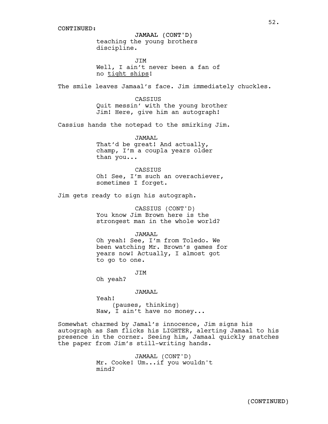JAMAAL (CONT'D) teaching the young brothers discipline.

JIM Well, I ain't never been a fan of no tight ships!

The smile leaves Jamaal's face. Jim immediately chuckles.

CASSIUS Quit messin' with the young brother Jim! Here, give him an autograph!

Cassius hands the notepad to the smirking Jim.

JAMAAL That'd be great! And actually, champ, I'm a coupla years older than you...

CASSIUS Oh! See, I'm such an overachiever, sometimes I forget.

Jim gets ready to sign his autograph.

CASSIUS (CONT'D) You know Jim Brown here is the strongest man in the whole world?

JAMAAL Oh yeah! See, I'm from Toledo. We been watching Mr. Brown's games for years now! Actually, I almost got to go to one.

JIM

Oh yeah?

JAMAAL

Yeah! (pauses, thinking) Naw, I ain't have no money...

Somewhat charmed by Jamal's innocence, Jim signs his autograph as Sam flicks his LIGHTER, alerting Jamaal to his presence in the corner. Seeing him, Jamaal quickly snatches the paper from Jim's still-writing hands.

> JAMAAL (CONT'D) Mr. Cooke! Um...if you wouldn't mind?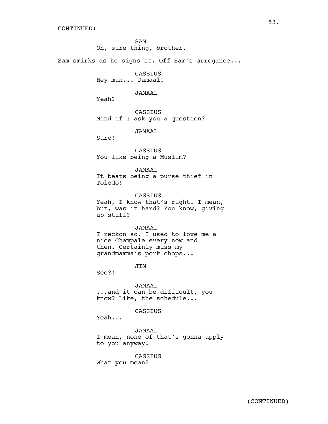SAM Oh, sure thing, brother.

Sam smirks as he signs it. Off Sam's arrogance...

CASSIUS Hey man... Jamaal!

JAMAAL

Yeah?

CASSIUS Mind if I ask you a question?

JAMAAL

Sure!

CASSIUS You like being a Muslim?

JAMAAL

It beats being a purse thief in Toledo!

CASSIUS Yeah, I know that's right. I mean, but, was it hard? You know, giving up stuff?

JAMAAL

I reckon so. I used to love me a nice Champale every now and then. Certainly miss my grandmamma's pork chops...

JIM

See?!

JAMAAL ...and it can be difficult, you know? Like, the schedule...

CASSIUS

Yeah...

JAMAAL I mean, none of that's gonna apply to you anyway!

CASSIUS What you mean?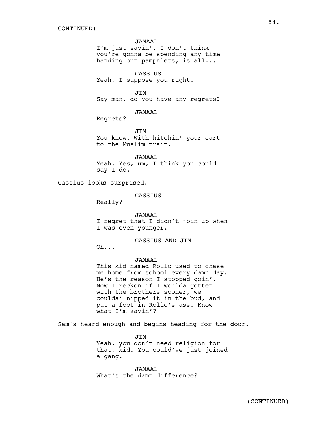## JAMAAL

I'm just sayin', I don't think you're gonna be spending any time handing out pamphlets, is all...

CASSIUS Yeah, I suppose you right.

JIM

Say man, do you have any regrets?

JAMAAL

Regrets?

JIM You know. With hitchin' your cart to the Muslim train.

JAMAAL Yeah. Yes, um, I think you could say I do.

Cassius looks surprised.

CASSIUS

Really?

JAMAAL I regret that I didn't join up when I was even younger.

CASSIUS AND JIM

Oh...

JAMAAL This kid named Rollo used to chase me home from school every damn day. He's the reason I stopped goin'. Now I reckon if I woulda gotten with the brothers sooner, we coulda' nipped it in the bud, and put a foot in Rollo's ass. Know what I'm sayin'?

Sam's heard enough and begins heading for the door.

JIM Yeah, you don't need religion for that, kid. You could've just joined a gang.

JAMAAL What's the damn difference?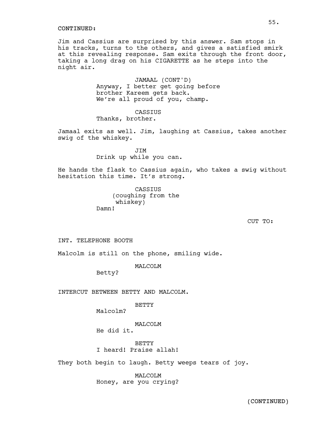### CONTINUED:

Jim and Cassius are surprised by this answer. Sam stops in his tracks, turns to the others, and gives a satisfied smirk at this revealing response. Sam exits through the front door, taking a long drag on his CIGARETTE as he steps into the night air.

> JAMAAL (CONT'D) Anyway, I better get going before brother Kareem gets back. We're all proud of you, champ.

CASSIUS Thanks, brother.

Jamaal exits as well. Jim, laughing at Cassius, takes another swig of the whiskey.

> JIM Drink up while you can.

He hands the flask to Cassius again, who takes a swig without hesitation this time. It's strong.

> CASSIUS (coughing from the whiskey) Damn!

> > CUT TO:

INT. TELEPHONE BOOTH

Malcolm is still on the phone, smiling wide.

MALCOLM

Betty?

INTERCUT BETWEEN BETTY AND MALCOLM.

BETTY

Malcolm?

MALCOLM He did it.

BETTY I heard! Praise allah!

They both begin to laugh. Betty weeps tears of joy.

MALCOLM Honey, are you crying?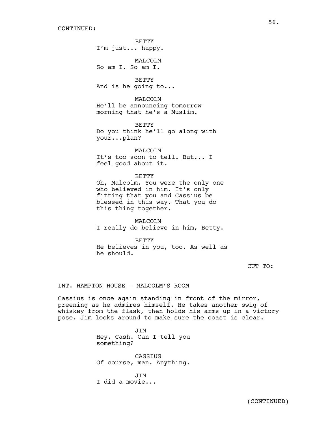BETTY I'm just... happy.

MALCOLM So am I. So am I.

BETTY And is he going to...

MALCOLM He'll be announcing tomorrow morning that he's a Muslim.

BETTY Do you think he'll go along with your...plan?

MALCOLM It's too soon to tell. But... I feel good about it.

BETTY Oh, Malcolm. You were the only one who believed in him. It's only fitting that you and Cassius be blessed in this way. That you do this thing together.

MALCOLM I really do believe in him, Betty.

BETTY He believes in you, too. As well as he should.

CUT TO:

INT. HAMPTON HOUSE - MALCOLM'S ROOM

Cassius is once again standing in front of the mirror, preening as he admires himself. He takes another swig of whiskey from the flask, then holds his arms up in a victory pose. Jim looks around to make sure the coast is clear.

> JIM Hey, Cash. Can I tell you something?

> CASSIUS Of course, man. Anything.

JIM I did a movie...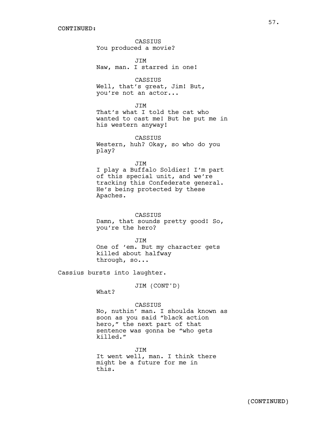CASSIUS You produced a movie?

JIM Naw, man. I starred in one!

CASSIUS Well, that's great, Jim! But, you're not an actor...

## JIM

That's what I told the cat who wanted to cast me! But he put me in his western anyway!

CASSIUS Western, huh? Okay, so who do you play?

JIM I play a Buffalo Soldier! I'm part of this special unit, and we're tracking this Confederate general. He's being protected by these Apaches.

CASSIUS Damn, that sounds pretty good! So, you're the hero?

JIM One of 'em. But my character gets killed about halfway through, so...

Cassius bursts into laughter.

JIM (CONT'D)

What?

# CASSIUS

No, nuthin' man. I shoulda known as soon as you said "black action hero," the next part of that sentence was gonna be "who gets killed."

JIM It went well, man. I think there might be a future for me in this.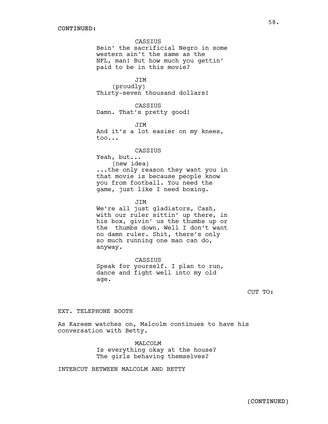CASSIUS Bein' the sacrificial Negro in some western ain't the same as the NFL, man! But how much you gettin' paid to be in this movie?

JIM (proudly) Thirty-seven thousand dollars!

CASSIUS Damn. That's pretty good!

JIM And it's a lot easier on my knees, too...

# CASSIUS

Yeah, but... (new idea) ...the only reason they want you in that movie is because people know you from football. You need the game, just like I need boxing.

JIM

We're all just gladiators, Cash, with our ruler sittin' up there, in his box, givin' us the thumbs up or the thumbs down. Well I don't want no damn ruler. Shit, there's only so much running one man can do, anyway.

CASSIUS Speak for yourself. I plan to run, dance and fight well into my old age.

CUT TO:

EXT. TELEPHONE BOOTH

As Kareem watches on, Malcolm continues to have his conversation with Betty.

> MALCOLM Is everything okay at the house? The girls behaving themselves?

INTERCUT BETWEEN MALCOLM AND BETTY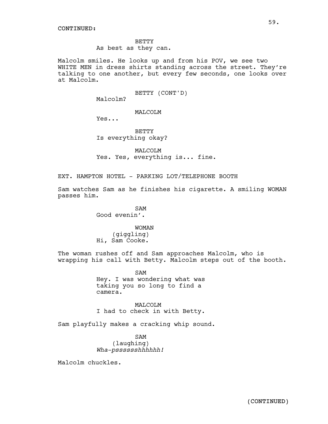**BETTY** As best as they can.

Malcolm smiles. He looks up and from his POV, we see two WHITE MEN in dress shirts standing across the street. They're talking to one another, but every few seconds, one looks over at Malcolm.

BETTY (CONT'D)

Malcolm?

# MALCOLM

Yes...

BETTY Is everything okay?

MALCOLM Yes. Yes, everything is... fine.

EXT. HAMPTON HOTEL - PARKING LOT/TELEPHONE BOOTH

Sam watches Sam as he finishes his cigarette. A smiling WOMAN passes him.

> SAM Good evenin'.

# WOMAN

(giggling) Hi, Sam Cooke.

The woman rushes off and Sam approaches Malcolm, who is wrapping his call with Betty. Malcolm steps out of the booth.

> SAM Hey. I was wondering what was taking you so long to find a camera.

> MALCOLM I had to check in with Betty.

Sam playfully makes a cracking whip sound.

SAM (laughing) *Wha-psssssshhhhhh!*

Malcolm chuckles.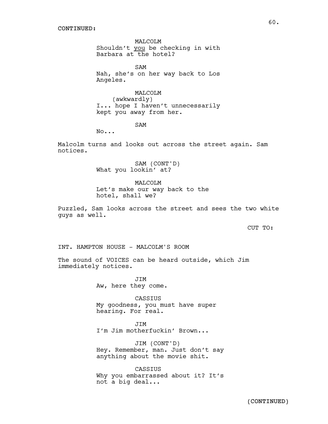MALCOLM Shouldn't you be checking in with Barbara at the hotel?

SAM Nah, she's on her way back to Los Angeles.

MALCOLM (awkwardly) I... hope I haven't unnecessarily kept you away from her.

SAM

No...

Malcolm turns and looks out across the street again. Sam notices.

> SAM (CONT'D) What you lookin' at?

MALCOLM Let's make our way back to the hotel, shall we?

Puzzled, Sam looks across the street and sees the two white guys as well.

CUT TO:

INT. HAMPTON HOUSE - MALCOLM'S ROOM

The sound of VOICES can be heard outside, which Jim immediately notices.

> JIM Aw, here they come.

CASSIUS My goodness, you must have super hearing. For real.

**JTM** I'm Jim motherfuckin' Brown...

JIM (CONT'D) Hey. Remember, man. Just don't say anything about the movie shit.

CASSIUS Why you embarrassed about it? It's not a big deal...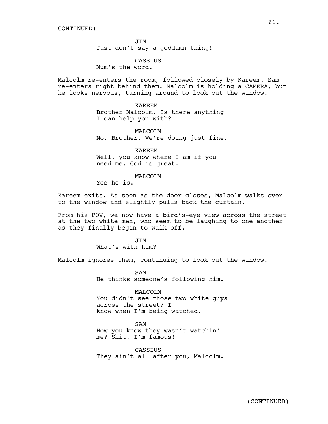CASSIUS Mum's the word.

Malcolm re-enters the room, followed closely by Kareem. Sam re-enters right behind them. Malcolm is holding a CAMERA, but he looks nervous, turning around to look out the window.

KAREEM

Brother Malcolm. Is there anything I can help you with?

MALCOLM No, Brother. We're doing just fine.

KAREEM Well, you know where I am if you need me. God is great.

MALCOLM

Yes he is.

Kareem exits. As soon as the door closes, Malcolm walks over to the window and slightly pulls back the curtain.

From his POV, we now have a bird's-eye view across the street at the two white men, who seem to be laughing to one another as they finally begin to walk off.

> **JTM** What's with him?

Malcolm ignores them, continuing to look out the window.

SAM He thinks someone's following him.

MALCOLM

You didn't see those two white guys across the street? I know when I'm being watched.

SAM How you know they wasn't watchin' me? Shit, I'm famous!

CASSIUS They ain't all after you, Malcolm.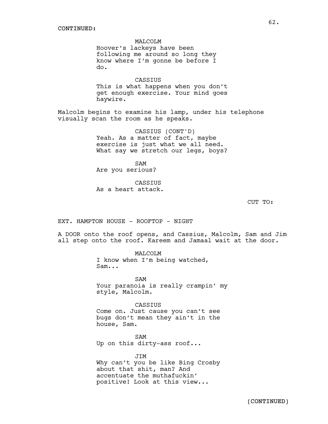MAT<sub>I</sub>COT<sub>I</sub>M Hoover's lackeys have been following me around so long they know where I'm gonne be before I do.

CASSIUS This is what happens when you don't get enough exercise. Your mind goes haywire.

Malcolm begins to examine his lamp, under his telephone visually scan the room as he speaks.

> CASSIUS (CONT'D) Yeah. As a matter of fact, maybe exercise is just what we all need. What say we stretch our legs, boys?

SAM Are you serious?

CASSIUS As a heart attack.

CUT TO:

EXT. HAMPTON HOUSE - ROOFTOP - NIGHT

A DOOR onto the roof opens, and Cassius, Malcolm, Sam and Jim all step onto the roof. Kareem and Jamaal wait at the door.

> MALCOLM I know when I'm being watched, Sam...

SAM Your paranoia is really crampin' my style, Malcolm.

CASSIUS Come on. Just cause you can't see

bugs don't mean they ain't in the house, Sam.

SAM Up on this dirty-ass roof...

JIM Why can't you be like Bing Crosby about that shit, man? And accentuate the muthafuckin' positive! Look at this view...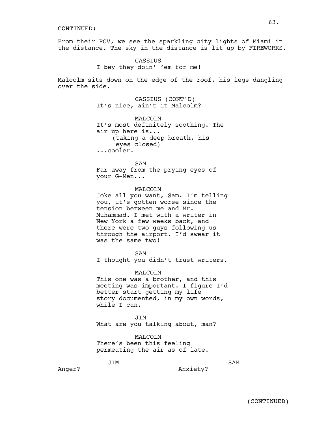From their POV, we see the sparkling city lights of Miami in the distance. The sky in the distance is lit up by FIREWORKS.

> CASSIUS I bey they doin' 'em for me!

Malcolm sits down on the edge of the roof, his legs dangling over the side.

> CASSIUS (CONT'D) It's nice, ain't it Malcolm?

MALCOLM It's most definitely soothing. The air up here is... (taking a deep breath, his eyes closed) ...cooler.

SAM Far away from the prying eyes of your G-Men...

### MALCOLM

Joke all you want, Sam. I'm telling you, it's gotten worse since the tension between me and Mr. Muhammad. I met with a writer in New York a few weeks back, and there were two guys following us through the airport. I'd swear it was the same two!

SAM

I thought you didn't trust writers.

## MALCOLM

This one was a brother, and this meeting was important. I figure I'd better start getting my life story documented, in my own words, while I can.

#### JIM

JIM

What are you talking about, man?

MALCOLM

There's been this feeling permeating the air as of late.

Anger?

Anxiety?

SAM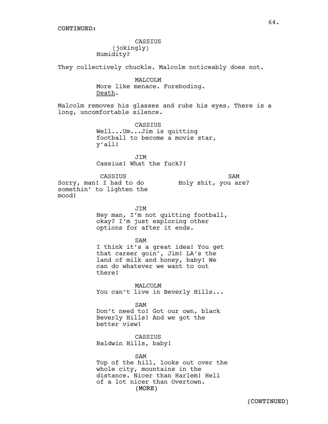CASSIUS (jokingly) Humidity?

They collectively chuckle. Malcolm noticeably does not.

MALCOLM More like menace. Foreboding. Death.

Malcolm removes his glasses and rubs his eyes. There is a long, uncomfortable silence.

> CASSIUS Well...Um...Jim is quitting football to become a movie star, y'all!

JIM Cassius! What the fuck?!

CASSIUS Sorry, man! I had to do somethin' to lighten the mood!

SAM Holy shit, you are?

JIM

Hey man, I'm not quitting football, okay? I'm just exploring other options for after it ends.

SAM

I think it's a great idea! You get that career goin', Jim! LA's the land of milk and honey, baby! We can do whatever we want to out there!

MALCOLM You can't live in Beverly Hills...

SAM Don't need to! Got our own, black Beverly Hills! And we got the better view!

CASSIUS Baldwin Hills, baby!

(MORE) SAM Top of the hill, looks out over the whole city, mountains in the distance. Nicer than Harlem! Hell of a lot nicer than Overtown.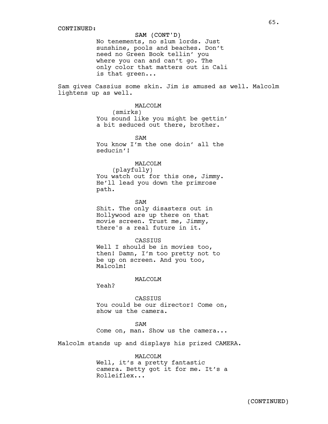# SAM (CONT'D)

No tenements, no slum lords. Just sunshine, pools and beaches. Don't need no Green Book tellin' you where you can and can't go. The only color that matters out in Cali is that green...

Sam gives Cassius some skin. Jim is amused as well. Malcolm lightens up as well.

> MALCOLM (smirks) You sound like you might be gettin' a bit seduced out there, brother.

SAM You know I'm the one doin' all the seducin'!

## MALCOLM

(playfully) You watch out for this one, Jimmy. He'll lead you down the primrose path.

SAM Shit. The only disasters out in Hollywood are up there on that movie screen. Trust me, Jimmy, there's a real future in it.

#### CASSIUS

Well I should be in movies too, then! Damn, I'm too pretty not to be up on screen. And you too, Malcolm!

### MALCOLM

Yeah?

CASSIUS You could be our director! Come on, show us the camera.

### SAM

Come on, man. Show us the camera...

Malcolm stands up and displays his prized CAMERA.

# MALCOLM Well, it's a pretty fantastic camera. Betty got it for me. It's a Rolleiflex...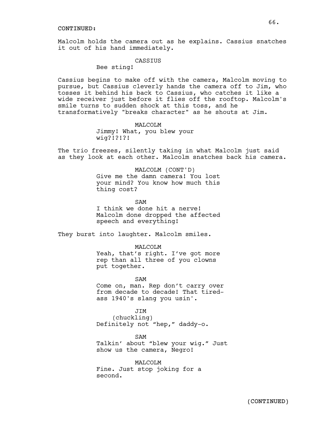Malcolm holds the camera out as he explains. Cassius snatches it out of his hand immediately.

## CASSIUS

Bee sting!

Cassius begins to make off with the camera, Malcolm moving to pursue, but Cassius cleverly hands the camera off to Jim, who tosses it behind his back to Cassius, who catches it like a wide receiver just before it flies off the rooftop. Malcolm's smile turns to sudden shock at this toss, and he transformatively "breaks character" as he shouts at Jim.

# MALCOLM

Jimmy! What, you blew your wig?!?!?!

The trio freezes, silently taking in what Malcolm just said as they look at each other. Malcolm snatches back his camera.

> MALCOLM (CONT'D) Give me the damn camera! You lost your mind? You know how much this thing cost?

> SAM I think we done hit a nerve! Malcolm done dropped the affected speech and everything!

They burst into laughter. Malcolm smiles.

MALCOLM

Yeah, that's right. I've got more rep than all three of you clowns put together.

SAM Come on, man. Rep don't carry over from decade to decade! That tiredass 1940's slang you usin'.

JIM (chuckling) Definitely not "hep," daddy-o.

SAM Talkin' about "blew your wig." Just show us the camera, Negro!

MALCOLM Fine. Just stop joking for a second.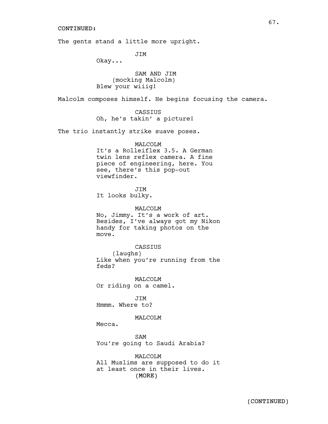## CONTINUED:

The gents stand a little more upright.

JIM

Okay...

SAM AND JIM (mocking Malcolm) Blew your wiiig!

Malcolm composes himself. He begins focusing the camera.

CASSIUS Oh, he's takin' a picture!

The trio instantly strike suave poses.

## MALCOLM

It's a Rolleiflex 3.5. A German twin lens reflex camera. A fine piece of engineering, here. You see, there's this pop-out viewfinder.

JIM

It looks bulky.

## MALCOLM

No, Jimmy. It's a work of art. Besides, I've always got my Nikon handy for taking photos on the move.

### CASSIUS

(laughs) Like when you're running from the feds?

MALCOLM Or riding on a camel.

JIM Hmmm. Where to?

MALCOLM

Mecca.

SAM You're going to Saudi Arabia?

(MORE) MALCOLM All Muslims are supposed to do it at least once in their lives.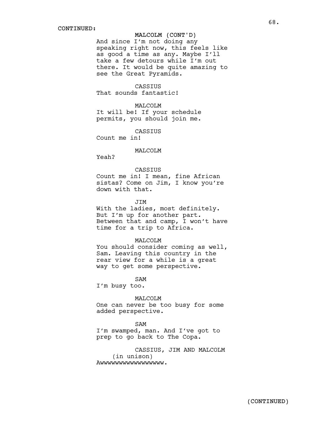## MALCOLM (CONT'D)

And since I'm not doing any speaking right now, this feels like as good a time as any. Maybe I'll take a few detours while I'm out there. It would be quite amazing to see the Great Pyramids.

CASSIUS

That sounds fantastic!

## MALCOLM

It will be! If your schedule permits, you should join me.

CASSIUS

Count me in!

# MALCOLM

Yeah?

# CASSIUS

Count me in! I mean, fine African sistas? Come on Jim, I know you're down with that.

JIM

With the ladies, most definitely. But I'm up for another part. Between that and camp, I won't have time for a trip to Africa.

## MALCOLM

You should consider coming as well, Sam. Leaving this country in the rear view for a while is a great way to get some perspective.

SAM

I'm busy too.

### MALCOLM

One can never be too busy for some added perspective.

### SAM

I'm swamped, man. And I've got to prep to go back to The Copa.

CASSIUS, JIM AND MALCOLM (in unison) Awwwwwwwwwwwwwwwww.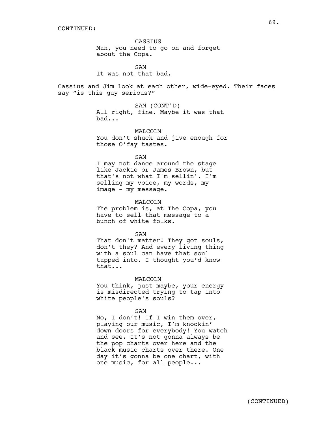CASSIUS Man, you need to go on and forget about the Copa.

SAM It was not that bad.

Cassius and Jim look at each other, wide-eyed. Their faces say "is this guy serious?"

> SAM (CONT'D) All right, fine. Maybe it was that bad...

## MALCOLM

You don't shuck and jive enough for those O'fay tastes.

### SAM

I may not dance around the stage like Jackie or James Brown, but that's not what I'm sellin'. I'm selling my voice, my words, my image - my message.

## MALCOLM

The problem is, at The Copa, you have to sell that message to a bunch of white folks.

### SAM

That don't matter! They got souls, don't they? And every living thing with a soul can have that soul tapped into. I thought you'd know that...

## MALCOLM

You think, just maybe, your energy is misdirected trying to tap into white people's souls?

### SAM

No, I don't! If I win them over, playing our music, I'm knockin' down doors for everybody! You watch and see. It's not gonna always be the pop charts over here and the black music charts over there. One day it's gonna be one chart, with one music, for all people...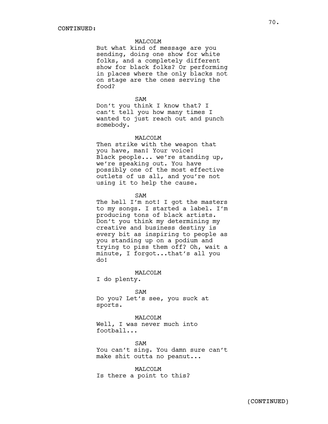# MALCOLM

But what kind of message are you sending, doing one show for white folks, and a completely different show for black folks? Or performing in places where the only blacks not on stage are the ones serving the food?

SAM

Don't you think I know that? I can't tell you how many times I wanted to just reach out and punch somebody.

## MALCOLM

Then strike with the weapon that you have, man! Your voice! Black people... we're standing up, we're speaking out. You have possibly one of the most effective outlets of us all, and you're not using it to help the cause.

SAM

The hell I'm not! I got the masters to my songs. I started a label. I'm producing tons of black artists. Don't you think my determining my creative and business destiny is every bit as inspiring to people as you standing up on a podium and trying to piss them off? Oh, wait a minute, I forgot...that's all you do!

MALCOLM

I do plenty.

SAM Do you? Let's see, you suck at sports.

MALCOLM Well, I was never much into football...

SAM You can't sing. You damn sure can't make shit outta no peanut...

MALCOLM Is there a point to this?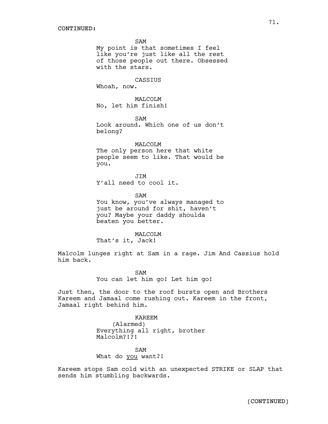SAM

My point is that sometimes I feel like you're just like all the rest of those people out there. Obsessed with the stars.

CASSIUS

Whoah, now.

MALCOLM No, let him finish!

SAM Look around. Which one of us don't belong?

MALCOLM The only person here that white people seem to like. That would be you.

JIM Y'all need to cool it.

SAM You know, you've always managed to just be around for shit, haven't you? Maybe your daddy shoulda beaten you better.

MALCOLM That's it, Jack!

Malcolm lunges right at Sam in a rage. Jim And Cassius hold him back.

> SAM You can let him go! Let him go!

Just then, the door to the roof bursts open and Brothers Kareem and Jamaal come rushing out. Kareem in the front, Jamaal right behind him.

> KAREEM (Alarmed) Everything all right, brother Malcolm?!?!

SAM What do you want?!

Kareem stops Sam cold with an unexpected STRIKE or SLAP that sends him stumbling backwards.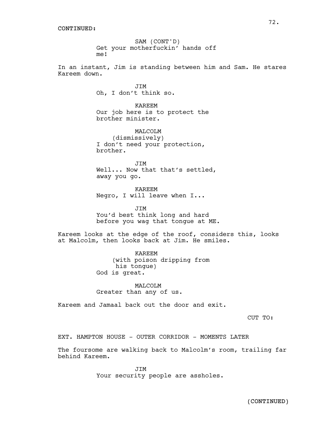SAM (CONT'D) Get your motherfuckin' hands off me!

In an instant, Jim is standing between him and Sam. He stares Kareem down.

> JIM Oh, I don't think so.

KAREEM Our job here is to protect the brother minister.

MALCOLM (dismissively) I don't need your protection, brother.

JIM Well... Now that that's settled, away you go.

KAREEM Negro, I will leave when I...

JIM You'd best think long and hard before you wag that tongue at ME.

Kareem looks at the edge of the roof, considers this, looks at Malcolm, then looks back at Jim. He smiles.

> KAREEM (with poison dripping from his tongue) God is great.

MALCOLM Greater than any of us.

Kareem and Jamaal back out the door and exit.

CUT TO:

EXT. HAMPTON HOUSE - OUTER CORRIDOR - MOMENTS LATER

The foursome are walking back to Malcolm's room, trailing far behind Kareem.

> JIM Your security people are assholes.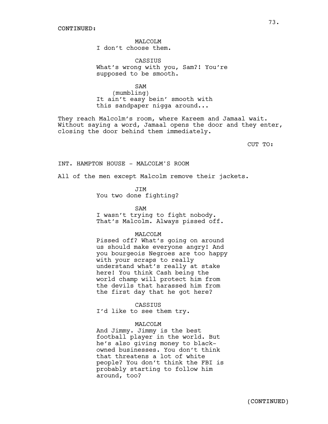MAT<sub>COLM</sub> I don't choose them.

CASSIUS What's wrong with you, Sam?! You're supposed to be smooth.

SAM

(mumbling) It ain't easy bein' smooth with this sandpaper nigga around...

They reach Malcolm's room, where Kareem and Jamaal wait. Without saying a word, Jamaal opens the door and they enter, closing the door behind them immediately.

CUT TO:

INT. HAMPTON HOUSE - MALCOLM'S ROOM

All of the men except Malcolm remove their jackets.

JIM

You two done fighting?

SAM

I wasn't trying to fight nobody. That's Malcolm. Always pissed off.

## MALCOLM

Pissed off? What's going on around us should make everyone angry! And you bourgeois Negroes are too happy with your scraps to really understand what's really at stake here! You think Cash being the world champ will protect him from the devils that harassed him from the first day that he got here?

CASSIUS

I'd like to see them try.

# MALCOLM

And Jimmy. Jimmy is the best football player in the world. But he's also giving money to blackowned businesses. You don't think that threatens a lot of white people? You don't think the FBI is probably starting to follow him around, too?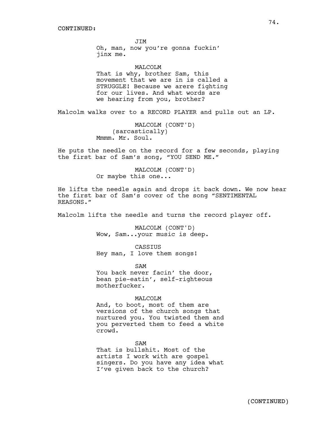**JTM** Oh, man, now you're gonna fuckin' jinx me.

MALCOLM That is why, brother Sam, this movement that we are in is called a STRUGGLE! Because we arere fighting for our lives. And what words are we hearing from you, brother?

Malcolm walks over to a RECORD PLAYER and pulls out an LP.

MALCOLM (CONT'D) (sarcastically) Mmmm. Mr. Soul.

He puts the needle on the record for a few seconds, playing the first bar of Sam's song, "YOU SEND ME."

> MALCOLM (CONT'D) Or maybe this one...

He lifts the needle again and drops it back down. We now hear the first bar of Sam's cover of the song "SENTIMENTAL REASONS."

Malcolm lifts the needle and turns the record player off.

MALCOLM (CONT'D) Wow, Sam...your music is deep.

CASSIUS Hey man, I love them songs!

SAM

You back never facin' the door, bean pie-eatin', self-righteous motherfucker.

#### MALCOLM

And, to boot, most of them are versions of the church songs that nurtured you. You twisted them and you perverted them to feed a white crowd.

SAM That is bullshit. Most of the artists I work with are gospel singers. Do you have any idea what I've given back to the church?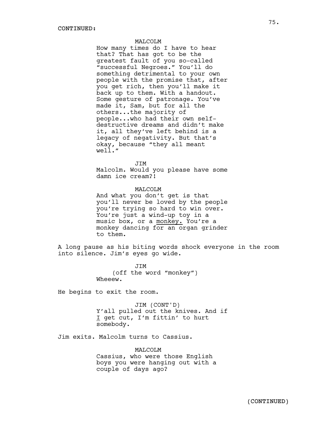# MALCOLM

How many times do I have to hear that? That has got to be the greatest fault of you so-called "successful Negroes." You'll do something detrimental to your own people with the promise that, after you get rich, then you'll make it back up to them. With a handout. Some gesture of patronage. You've made it, Sam, but for all the others...the majority of people...who had their own selfdestructive dreams and didn't make it, all they've left behind is a legacy of negativity. But that's okay, because "they all meant well."

#### JIM

Malcolm. Would you please have some damn ice cream?!

## MALCOLM

And what you don't get is that you'll never be loved by the people you're trying so hard to win over. You're just a wind-up toy in a music box, or a monkey. You're a monkey dancing for an organ grinder to them.

A long pause as his biting words shock everyone in the room into silence. Jim's eyes go wide.

> JIM (off the word "monkey") Wheeew.

He begins to exit the room.

JIM (CONT'D) Y'all pulled out the knives. And if I get cut, I'm fittin' to hurt somebody.

Jim exits. Malcolm turns to Cassius.

MALCOLM Cassius, who were those English boys you were hanging out with a couple of days ago?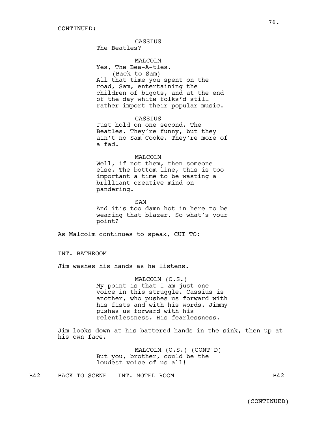# CASSIUS

The Beatles?

MALCOLM Yes, The Bea-A-tles. (Back to Sam) All that time you spent on the road, Sam, entertaining the children of bigots, and at the end of the day white folks'd still rather import their popular music.

CASSIUS

Just hold on one second. The Beatles. They're funny, but they ain't no Sam Cooke. They're more of a fad.

#### MALCOLM

Well, if not them, then someone else. The bottom line, this is too important a time to be wasting a brilliant creative mind on pandering.

SAM

And it's too damn hot in here to be wearing that blazer. So what's your point?

As Malcolm continues to speak, CUT TO:

INT. BATHROOM

Jim washes his hands as he listens.

MALCOLM (O.S.) My point is that I am just one voice in this struggle. Cassius is another, who pushes us forward with his fists and with his words. Jimmy pushes us forward with his relentlessness. His fearlessness.

Jim looks down at his battered hands in the sink, then up at his own face.

> MALCOLM (O.S.) (CONT'D) But you, brother, could be the loudest voice of us all!

B42 BACK TO SCENE - INT. MOTEL ROOM B42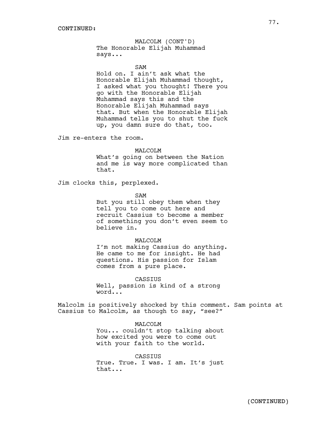MALCOLM (CONT'D) The Honorable Elijah Muhammad says...

SAM

Hold on. I ain't ask what the Honorable Elijah Muhammad thought, I asked what you thought! There you go with the Honorable Elijah Muhammad says this and the Honorable Elijah Muhammad says that. But when the Honorable Elijah Muhammad tells you to shut the fuck up, you damn sure do that, too.

Jim re-enters the room.

#### MALCOLM

What's going on between the Nation and me is way more complicated than that.

Jim clocks this, perplexed.

SAM

But you still obey them when they tell you to come out here and recruit Cassius to become a member of something you don't even seem to believe in.

## MAT<sub>I</sub>COT<sub>I</sub>M

I'm not making Cassius do anything. He came to me for insight. He had questions. His passion for Islam comes from a pure place.

CASSIUS

Well, passion is kind of a strong word...

Malcolm is positively shocked by this comment. Sam points at Cassius to Malcolm, as though to say, "see?"

#### MALCOLM

You... couldn't stop talking about how excited you were to come out with your faith to the world.

CASSIUS True. True. I was. I am. It's just that...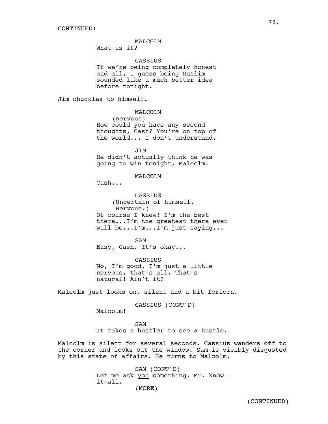# MALCOLM

What is it?

CASSIUS

If we're being completely honest and all, I guess being Muslim sounded like a much better idea before tonight.

Jim chuckles to himself.

MALCOLM

(nervous) How could you have any second thoughts, Cash? You're on top of the world... I don't understand.

JIM He didn't actually think he was going to win tonight, Malcolm!

MALCOLM

Cash...

CASSIUS (Uncertain of himself. Nervous.) Of course I knew! I'm the best there...I'm the greatest there ever will be...I'm...I'm just saying...

SAM Easy, Cash. It's okay...

CASSIUS No, I'm good. I'm just a little nervous, that's all. That's natural! Ain't it?

Malcolm just looks on, silent and a bit forlorn.

CASSIUS (CONT'D)

Malcolm!

SAM

It takes a hustler to see a hustle.

Malcolm is silent for several seconds. Cassius wanders off to the corner and looks out the window. Sam is visibly disgusted by this state of affairs. He turns to Malcolm.

> SAM (CONT'D) Let me ask you something, Mr. knowit-all.

(MORE)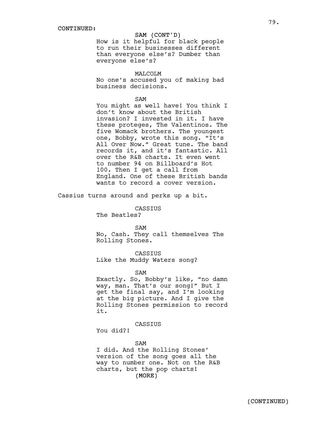How is it helpful for black people to run their businesses different than everyone else's? Dumber than everyone else's?

MALCOLM

No one's accused you of making bad business decisions.

SAM

You might as well have! You think I don't know about the British invasion? I invested in it. I have these proteges, The Valentinos. The five Womack brothers. The youngest one, Bobby, wrote this song. "It's All Over Now." Great tune. The band records it, and it's fantastic. All over the R&B charts. It even went to number 94 on Billboard's Hot 100. Then I get a call from England. One of these British bands wants to record a cover version.

Cassius turns around and perks up a bit.

CASSIUS

The Beatles?

SAM No, Cash. They call themselves The Rolling Stones.

CASSIUS Like the Muddy Waters song?

SAM

Exactly. So, Bobby's like, "no damn way, man. That's our song!" But I get the final say, and I'm looking at the big picture. And I give the Rolling Stones permission to record it.

CASSIUS

You did?!

SAM

(MORE) I did. And the Rolling Stones' version of the song goes all the way to number one. Not on the R&B charts, but the pop charts!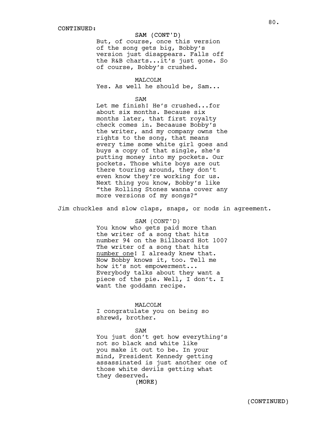But, of course, once this version of the song gets big, Bobby's version just disappears. Falls off the R&B charts...it's just gone. So of course, Bobby's crushed.

MALCOLM Yes. As well he should be, Sam...

SAM

Let me finish! He's crushed...for about six months. Because six months later, that first royalty check comes in. Becaause Bobby's the writer, and my company owns the rights to the song, that means every time some white girl goes and buys a copy of that single, she's putting money into my pockets. Our pockets. Those white boys are out there touring around, they don't even know they're working for us. Next thing you know, Bobby's like "the Rolling Stones wanna cover any more versions of my songs?"

Jim chuckles and slow claps, snaps, or nods in agreement.

#### SAM (CONT'D)

You know who gets paid more than the writer of a song that hits number 94 on the Billboard Hot 100? The writer of a song that hits number one! I already knew that. Now Bobby knows it, too. Tell me how it's not empowerment... Everybody talks about they want a piece of the pie. Well, I don't. I want the goddamn recipe.

#### MALCOLM

I congratulate you on being so shrewd, brother.

#### SAM

(MORE) You just don't get how everything's not so black and white like you make it out to be. In your mind, President Kennedy getting assassinated is just another one of those white devils getting what they deserved.

80.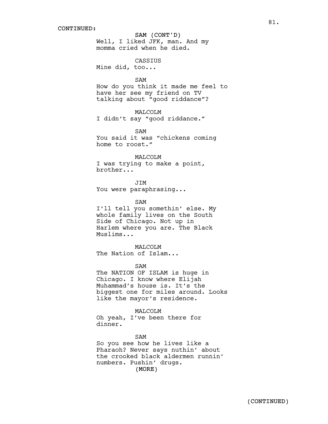Well, I liked JFK, man. And my momma cried when he died.

CASSIUS

Mine did, too...

SAM

How do you think it made me feel to have her see my friend on TV talking about "good riddance"?

MALCOLM

I didn't say "good riddance."

SAM You said it was "chickens coming home to roost."

#### MALCOLM

I was trying to make a point, brother...

JIM You were paraphrasing...

SAM

I'll tell you somethin' else. My whole family lives on the South Side of Chicago. Not up in Harlem where you are. The Black Muslims...

MALCOLM The Nation of Islam...

SAM

The NATION OF ISLAM is huge in Chicago. I know where Elijah Muhammad's house is. It's the biggest one for miles around. Looks like the mayor's residence.

MALCOLM

Oh yeah, I've been there for dinner.

(MORE) SAM So you see how he lives like a Pharaoh? Never says nuthin' about the crooked black aldermen runnin' numbers. Pushin' drugs.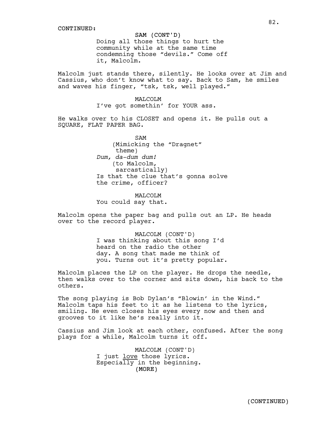Doing all those things to hurt the community while at the same time condemning those "devils." Come off it, Malcolm.

Malcolm just stands there, silently. He looks over at Jim and Cassius, who don't know what to say. Back to Sam, he smiles and waves his finger, "tsk, tsk, well played."

> MALCOLM I've got somethin' for YOUR ass.

He walks over to his CLOSET and opens it. He pulls out a SQUARE, FLAT PAPER BAG.

> SAM (Mimicking the "Dragnet" theme) *Dum, da-dum dum!* (to Malcolm, sarcastically) Is that the clue that's gonna solve the crime, officer?

MAT<sub>COLM</sub> You could say that.

Malcolm opens the paper bag and pulls out an LP. He heads over to the record player.

> MALCOLM (CONT'D) I was thinking about this song I'd heard on the radio the other day. A song that made me think of you. Turns out it's pretty popular.

Malcolm places the LP on the player. He drops the needle, then walks over to the corner and sits down, his back to the others.

The song playing is Bob Dylan's "Blowin' in the Wind." Malcolm taps his feet to it as he listens to the lyrics, smiling. He even closes his eyes every now and then and grooves to it like he's really into it.

Cassius and Jim look at each other, confused. After the song plays for a while, Malcolm turns it off.

> (MORE) MALCOLM (CONT'D) I just love those lyrics. Especially in the beginning.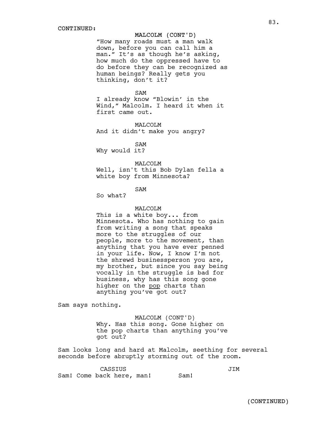## MALCOLM (CONT'D)

"How many roads must a man walk down, before you can call him a man." It's as though he's asking, how much do the oppressed have to do before they can be recognized as human beings? Really gets you thinking, don't it?

#### SAM

I already know "Blowin' in the Wind," Malcolm. I heard it when it first came out.

MAT<sub>CO</sub>T<sub>M</sub> And it didn't make you angry?

SAM Why would it?

MALCOLM

Well, isn't this Bob Dylan fella a white boy from Minnesota?

## SAM

So what?

## MALCOLM

This is a white boy... from Minnesota. Who has nothing to gain from writing a song that speaks more to the struggles of our people, more to the movement, than anything that you have ever penned in your life. Now, I know I'm not the shrewd businessperson you are, my brother, but since you say being vocally in the struggle is bad for business, why has this song gone higher on the pop charts than anything you've got out?

Sam says nothing.

## MALCOLM (CONT'D)

Why. Has this song. Gone higher on the pop charts than anything you've got out?

Sam looks long and hard at Malcolm, seething for several seconds before abruptly storming out of the room.

CASSIUS Sam! Come back here, man! Sam! JIM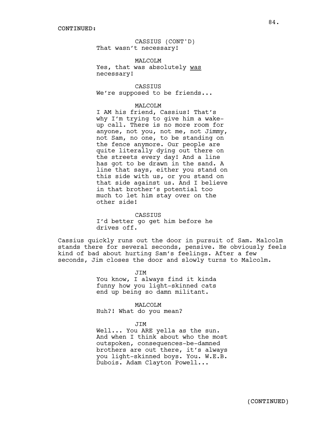CASSIUS (CONT'D) That wasn't necessary!

MALCOLM Yes, that was absolutely was necessary!

CASSIUS We're supposed to be friends...

#### MALCOLM

I AM his friend, Cassius! That's why I'm trying to give him a wakeup call. There is no more room for anyone, not you, not me, not Jimmy, not Sam, no one, to be standing on the fence anymore. Our people are quite literally dying out there on the streets every day! And a line has got to be drawn in the sand. A line that says, either you stand on this side with us, or you stand on that side against us. And I believe in that brother's potential too much to let him stay over on the other side!

#### CASSIUS

I'd better go get him before he drives off.

Cassius quickly runs out the door in pursuit of Sam. Malcolm stands there for several seconds, pensive. He obviously feels kind of bad about hurting Sam's feelings. After a few seconds, Jim closes the door and slowly turns to Malcolm.

JIM

You know, I always find it kinda funny how you light-skinned cats end up being so damn militant.

MALCOLM Huh?! What do you mean?

JIM

Well... You ARE yella as the sun. And when I think about who the most outspoken, consequences-be-damned brothers are out there, it's always you light-skinned boys. You. W.E.B. Dubois. Adam Clayton Powell...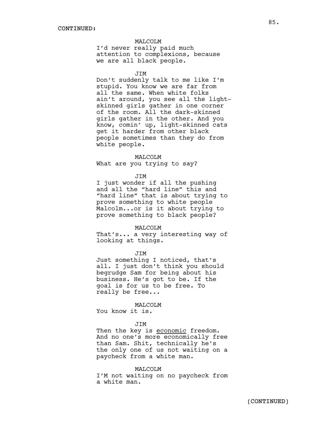MAT<sub>I</sub>COT<sub>I</sub>M

I'd never really paid much attention to complexions, because we are all black people.

JIM

Don't suddenly talk to me like I'm stupid. You know we are far from all the same. When white folks ain't around, you see all the lightskinned girls gather in one corner of the room. All the dark-skinned girls gather in the other. And you know, comin' up, light-skinned cats get it harder from other black people sometimes than they do from white people.

#### MALCOLM

What are you trying to say?

#### JIM

I just wonder if all the pushing and all the "hard line" this and "hard line" that is about trying to prove something to white people Malcolm...or is it about trying to prove something to black people?

#### MALCOLM

That's... a very interesting way of looking at things.

JIM

Just something I noticed, that's all. I just don't think you should begrudge Sam for being about his business. He's got to be. If the goal is for us to be free. To really be free...

# MALCOLM

You know it is.

#### JIM

Then the key is economic freedom. And no one's more economically free than Sam. Shit, technically he's the only one of us not waiting on a paycheck from a white man.

#### MALCOLM

I'M not waiting on no paycheck from a white man.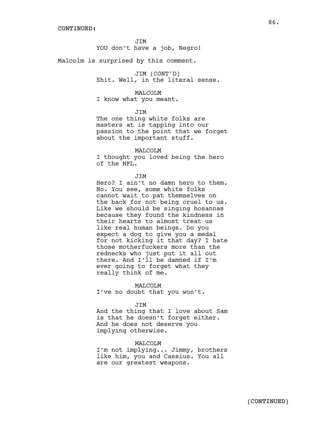JIM YOU don't have a job, Negro!

Malcolm is surprised by this comment.

JIM (CONT'D) Shit. Well, in the literal sense.

#### MALCOLM

I know what you meant.

#### JIM

The one thing white folks are masters at is tapping into our passion to the point that we forget about the important stuff.

## MALCOLM

I thought you loved being the hero of the NFL.

## **JTM**

Hero? I ain't no damn hero to them. No. You see, some white folks cannot wait to pat themselves on the back for not being cruel to us. Like we should be singing hosannas because they found the kindness in their hearts to almost treat us like real human beings. Do you expect a dog to give you a medal for not kicking it that day? I hate those motherfuckers more than the rednecks who just put it all out there. And I'll be damned if I'm ever going to forget what they really think of me.

#### MALCOLM

I've no doubt that you won't.

#### JIM

And the thing that I love about Sam is that he doesn't forget either. And he does not deserve you implying otherwise.

## MALCOLM

I'm not implying... Jimmy, brothers like him, you and Cassius. You all are our greatest weapons.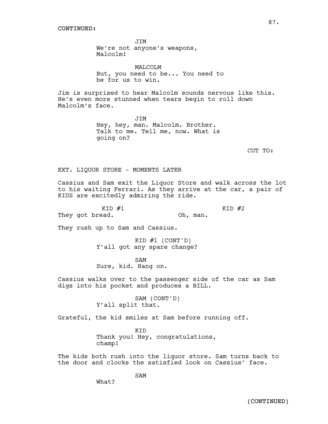JIM We're not anyone's weapons, Malcolm!

MALCOLM But, you need to be... You need to be for us to win.

Jim is surprised to hear Malcolm sounds nervous like this. He's even more stunned when tears begin to roll down Malcolm's face.

> JIM Hey, hey, man. Malcolm. Brother. Talk to me. Tell me, now. What is going on?

> > CUT TO:

EXT. LIQUOR STORE - MOMENTS LATER

Cassius and Sam exit the Liquor Store and walk across the lot to his waiting Ferrari. As they arrive at the car, a pair of KIDS are excitedly admiring the ride.

 $KID$  #1 They got bread. KID #2 Oh, man.

They rush up to Sam and Cassius.

KID #1 (CONT'D) Y'all got any spare change?

SAM Sure, kid. Hang on.

Cassius walks over to the passenger side of the car as Sam digs into his pocket and produces a BILL.

> SAM (CONT'D) Y'all split that.

Grateful, the kid smiles at Sam before running off.

KID Thank you! Hey, congratulations, champ!

The kids both rush into the liquor store. Sam turns back to the door and clocks the satisfied look on Cassius' face.

SAM

What?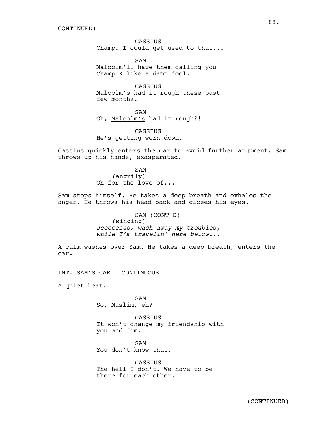CASSIUS Champ. I could get used to that...

SAM Malcolm'll have them calling you Champ X like a damn fool.

CASSIUS Malcolm's had it rough these past few months.

SAM Oh, Malcolm's had it rough?!

CASSIUS He's getting worn down.

Cassius quickly enters the car to avoid further argument. Sam throws up his hands, exasperated.

> SAM (angrily) Oh for the love of...

Sam stops himself. He takes a deep breath and exhales the anger. He throws his head back and closes his eyes.

> SAM (CONT'D) (singing) *Jeeeeesus, wash away my troubles, while I'm travelin' here below...*

A calm washes over Sam. He takes a deep breath, enters the car.

INT. SAM'S CAR - CONTINUOUS

A quiet beat.

SAM So, Muslim, eh?

CASSIUS It won't change my friendship with you and Jim.

SAM You don't know that.

CASSIUS The hell I don't. We have to be there for each other.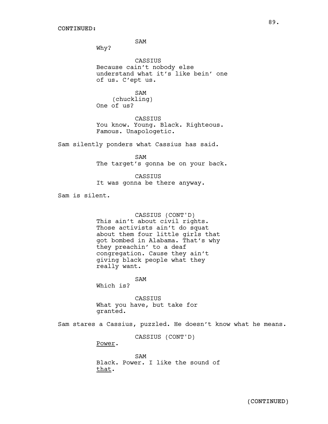SAM

Why?

CASSIUS Because cain't nobody else understand what it's like bein' one of us. C'ept us.

SAM (chuckling) One of us?

CASSIUS You know. Young. Black. Righteous. Famous. Unapologetic.

Sam silently ponders what Cassius has said.

SAM The target's gonna be on your back.

CASSIUS It was gonna be there anyway.

Sam is silent.

CASSIUS (CONT'D) This ain't about civil rights. Those activists ain't do squat about them four little girls that got bombed in Alabama. That's why they preachin' to a deaf congregation. Cause they ain't giving black people what they really want.

SAM Which is?

CASSIUS What you have, but take for granted.

Sam stares a Cassius, puzzled. He doesn't know what he means.

CASSIUS (CONT'D)

Power.

SAM Black. Power. I like the sound of that.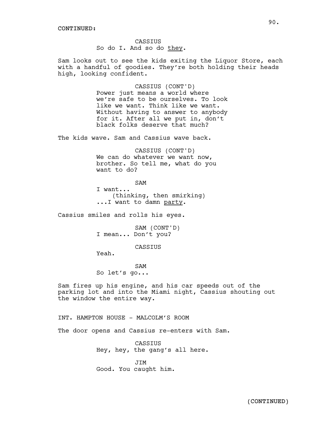CASSIUS So do I. And so do they.

Sam looks out to see the kids exiting the Liquor Store, each with a handful of goodies. They're both holding their heads high, looking confident.

> CASSIUS (CONT'D) Power just means a world where we're safe to be ourselves. To look like we want. Think like we want. Without having to answer to anybody for it. After all we put in, don't black folks deserve that much?

The kids wave. Sam and Cassius wave back.

CASSIUS (CONT'D) We can do whatever we want now, brother. So tell me, what do you want to do?

SAM I want... (thinking, then smirking) ...I want to damn party.

Cassius smiles and rolls his eyes.

SAM (CONT'D) I mean... Don't you?

CASSIUS

Yeah.

SAM So let's go...

Sam fires up his engine, and his car speeds out of the parking lot and into the Miami night, Cassius shouting out the window the entire way.

INT. HAMPTON HOUSE - MALCOLM'S ROOM

The door opens and Cassius re-enters with Sam.

CASSIUS Hey, hey, the gang's all here.

JIM Good. You caught him.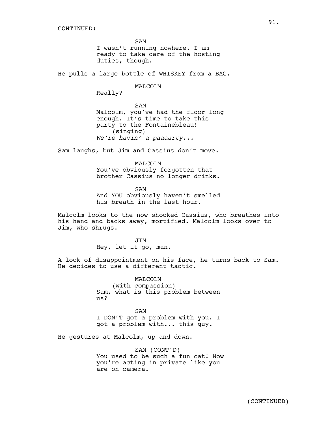SAM I wasn't running nowhere. I am ready to take care of the hosting duties, though.

He pulls a large bottle of WHISKEY from a BAG.

#### MALCOLM

Really?

SAM Malcolm, you've had the floor long enough. It's time to take this party to the Fontainebleau! (singing) *We're havin' a paaaarty...*

Sam laughs, but Jim and Cassius don't move.

MALCOLM You've obviously forgotten that brother Cassius no longer drinks.

SAM And YOU obviously haven't smelled his breath in the last hour.

Malcolm looks to the now shocked Cassius, who breathes into his hand and backs away, mortified. Malcolm looks over to Jim, who shrugs.

> JIM Hey, let it go, man.

A look of disappointment on his face, he turns back to Sam. He decides to use a different tactic.

> MALCOLM (with compassion) Sam, what is this problem between us?

SAM I DON'T got a problem with you. I got a problem with... this guy.

He gestures at Malcolm, up and down.

SAM (CONT'D) You used to be such a fun cat! Now you're acting in private like you are on camera.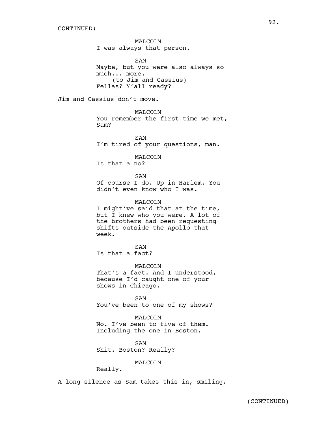MALCOLM I was always that person.

SAM Maybe, but you were also always so much... more. (to Jim and Cassius) Fellas? Y'all ready?

Jim and Cassius don't move.

MALCOLM You remember the first time we met, Sam?

SAM I'm tired of your questions, man.

MALCOLM

Is that a no?

SAM

Of course I do. Up in Harlem. You didn't even know who I was.

### MALCOLM

I might've said that at the time, but I knew who you were. A lot of the brothers had been requesting shifts outside the Apollo that week.

SAM Is that a fact?

MALCOLM That's a fact. And I understood, because I'd caught one of your shows in Chicago.

SAM You've been to one of my shows?

## MALCOLM

No. I've been to five of them. Including the one in Boston.

SAM Shit. Boston? Really?

MALCOLM

Really.

A long silence as Sam takes this in, smiling.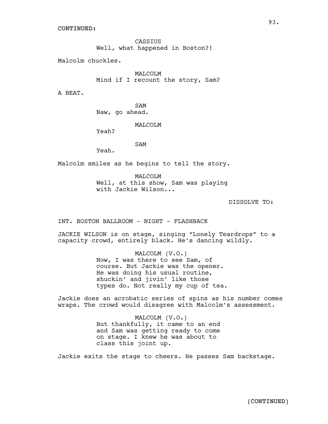CONTINUED:

CASSIUS Well, what happened in Boston?!

Malcolm chuckles.

MALCOLM Mind if I recount the story, Sam?

A BEAT.

SAM Naw, go ahead.

MALCOLM

Yeah?

SAM

Yeah.

Malcolm smiles as he begins to tell the story.

MALCOLM Well, at this show, Sam was playing with Jackie Wilson...

DISSOLVE TO:

INT. BOSTON BALLROOM - NIGHT - FLASHBACK

JACKIE WILSON is on stage, singing "Lonely Teardrops" to a capacity crowd, entirely black. He's dancing wildly.

> MALCOLM (V.O.) Now, I was there to see Sam, of course. But Jackie was the opener. He was doing his usual routine, shuckin' and jivin' like those types do. Not really my cup of tea.

Jackie does an acrobatic series of spins as his number comes wraps. The crowd would disagree with Malcolm's assessment.

> MALCOLM (V.O.) But thankfully, it came to an end and Sam was getting ready to come on stage. I knew he was about to class this joint up.

Jackie exits the stage to cheers. He passes Sam backstage.

93.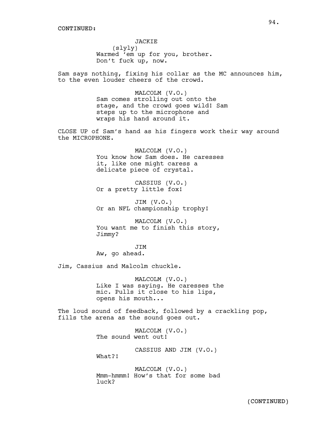JACKIE (slyly) Warmed 'em up for you, brother. Don't fuck up, now.

Sam says nothing, fixing his collar as the MC announces him, to the even louder cheers of the crowd.

> MALCOLM (V.O.) Sam comes strolling out onto the stage, and the crowd goes wild! Sam steps up to the microphone and wraps his hand around it.

CLOSE UP of Sam's hand as his fingers work their way around the MICROPHONE.

> MALCOLM (V.O.) You know how Sam does. He caresses it, like one might caress a delicate piece of crystal.

CASSIUS (V.O.) Or a pretty little fox!

JIM (V.O.) Or an NFL championship trophy!

MALCOLM (V.O.) You want me to finish this story, Jimmy?

JIM Aw, go ahead.

Jim, Cassius and Malcolm chuckle.

MALCOLM (V.O.) Like I was saying. He caresses the mic. Pulls it close to his lips, opens his mouth...

The loud sound of feedback, followed by a crackling pop, fills the arena as the sound goes out.

> MALCOLM (V.O.) The sound went out!

> > CASSIUS AND JIM (V.O.)

What?!

MALCOLM (V.O.) Mmm-hmmm! How's that for some bad luck?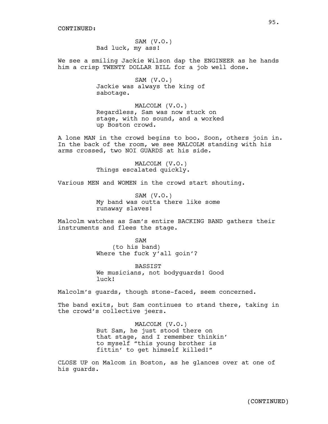SAM (V.O.) Bad luck, my ass!

We see a smiling Jackie Wilson dap the ENGINEER as he hands him a crisp TWENTY DOLLAR BILL for a job well done.

> SAM (V.O.) Jackie was always the king of sabotage.

MALCOLM (V.O.) Regardless, Sam was now stuck on stage, with no sound, and a worked up Boston crowd.

A lone MAN in the crowd begins to boo. Soon, others join in. In the back of the room, we see MALCOLM standing with his arms crossed, two NOI GUARDS at his side.

> MALCOLM (V.O.) Things escalated quickly.

Various MEN and WOMEN in the crowd start shouting.

SAM (V.O.) My band was outta there like some runaway slaves!

Malcolm watches as Sam's entire BACKING BAND gathers their instruments and flees the stage.

> SAM (to his band) Where the fuck y'all goin'?

**BASSIST** We musicians, not bodyguards! Good luck!

Malcolm's guards, though stone-faced, seem concerned.

The band exits, but Sam continues to stand there, taking in the crowd's collective jeers.

> MALCOLM (V.O.) But Sam, he just stood there on that stage, and I remember thinkin' to myself "this young brother is fittin' to get himself killed!"

CLOSE UP on Malcom in Boston, as he glances over at one of his guards.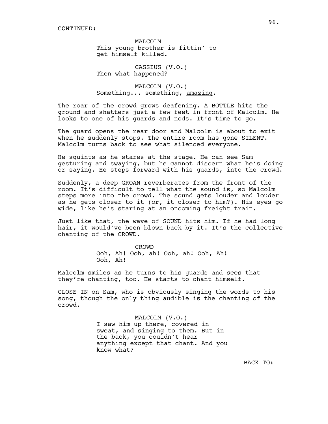MAT<sub>I</sub>COT<sub>I</sub>M This young brother is fittin' to get himself killed.

CASSIUS (V.O.) Then what happened?

MALCOLM (V.O.) Something... something, amazing.

The roar of the crowd grows deafening. A BOTTLE hits the ground and shatters just a few feet in front of Malcolm. He looks to one of his guards and nods. It's time to go.

The guard opens the rear door and Malcolm is about to exit when he suddenly stops. The entire room has gone SILENT. Malcolm turns back to see what silenced everyone.

He squints as he stares at the stage. He can see Sam gesturing and swaying, but he cannot discern what he's doing or saying. He steps forward with his guards, into the crowd.

Suddenly, a deep GROAN reverberates from the front of the room. It's difficult to tell what the sound is, so Malcolm steps more into the crowd. The sound gets louder and louder as he gets closer to it (or, it closer to him?). His eyes go wide, like he's staring at an oncoming freight train.

Just like that, the wave of SOUND hits him. If he had long hair, it would've been blown back by it. It's the collective chanting of the CROWD.

> CROWD Ooh, Ah! Ooh, ah! Ooh, ah! Ooh, Ah! Ooh, Ah!

Malcolm smiles as he turns to his guards and sees that they're chanting, too. He starts to chant himself.

CLOSE IN on Sam, who is obviously singing the words to his song, though the only thing audible is the chanting of the crowd.

> MALCOLM (V.O.) I saw him up there, covered in sweat, and singing to them. But in the back, you couldn't hear anything except that chant. And you know what?

> > BACK TO: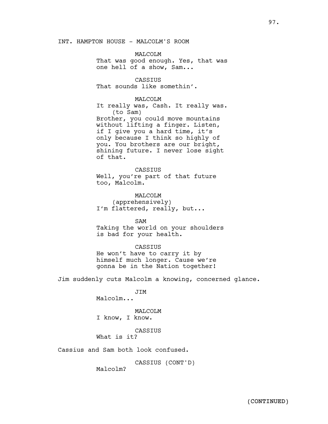MALCOLM That was good enough. Yes, that was one hell of a show, Sam...

CASSIUS That sounds like somethin'.

## MALCOLM

It really was, Cash. It really was. (to Sam) Brother, you could move mountains without lifting a finger. Listen, if I give you a hard time, it's only because I think so highly of you. You brothers are our bright, shining future. I never lose sight of that.

CASSIUS Well, you're part of that future too, Malcolm.

MALCOLM (apprehensively) I'm flattered, really, but...

# SAM

Taking the world on your shoulders is bad for your health.

#### CASSIUS

He won't have to carry it by himself much longer. Cause we're gonna be in the Nation together!

Jim suddenly cuts Malcolm a knowing, concerned glance.

# JIM

Malcolm...

# MALCOLM

I know, I know.

# CASSIUS

What is it?

Cassius and Sam both look confused.

CASSIUS (CONT'D)

Malcolm?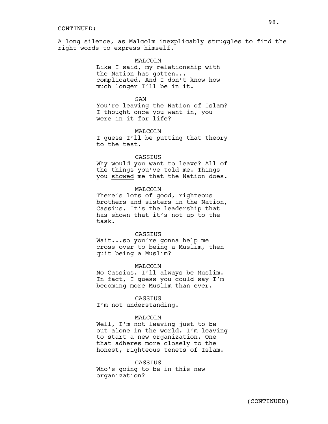A long silence, as Malcolm inexplicably struggles to find the right words to express himself.

#### MALCOLM

Like I said, my relationship with the Nation has gotten... complicated. And I don't know how much longer I'll be in it.

SAM

You're leaving the Nation of Islam? I thought once you went in, you were in it for life?

#### MAT<sub>I</sub>COT<sub>I</sub>M

I guess I'll be putting that theory to the test.

#### CASSIUS

Why would you want to leave? All of the things you've told me. Things you showed me that the Nation does.

## MALCOLM

There's lots of good, righteous brothers and sisters in the Nation, Cassius. It's the leadership that has shown that it's not up to the task.

## CASSIUS

Wait...so you're gonna help me cross over to being a Muslim, then quit being a Muslim?

#### MALCOLM

No Cassius. I'll always be Muslim. In fact, I guess you could say I'm becoming more Muslim than ever.

#### CASSIUS

I'm not understanding.

#### MALCOLM

Well, I'm not leaving just to be out alone in the world. I'm leaving to start a new organization. One that adheres more closely to the honest, righteous tenets of Islam.

## CASSIUS

Who's going to be in this new organization?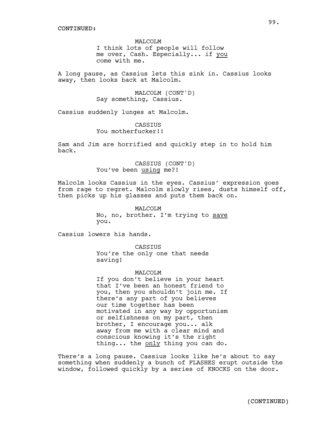MAT<sub>I</sub>COT<sub>I</sub>M I think lots of people will follow me over, Cash. Especially... if you come with me.

A long pause, as Cassius lets this sink in. Cassius looks away, then looks back at Malcolm.

> MALCOLM (CONT'D) Say something, Cassius.

Cassius suddenly lunges at Malcolm.

CASSIUS You motherfucker!!

Sam and Jim are horrified and quickly step in to hold him back.

> CASSIUS (CONT'D) You've been using me?!

Malcolm looks Cassius in the eyes. Cassius' expression goes from rage to regret. Malcolm slowly rises, dusts himself off, then picks up his glasses and puts them back on.

> MALCOLM No, no, brother. I'm trying to save you.

Cassius lowers his hands.

CASSIUS You're the only one that needs saving!

## MALCOLM

If you don't believe in your heart that I've been an honest friend to you, then you shouldn't join me. If there's any part of you believes our time together has been motivated in any way by opportunism or selfishness on my part, then brother, I encourage you... alk away from me with a clear mind and conscious knowing it's the right thing... the only thing you can do.

There's a long pause. Cassius looks like he's about to say something when suddenly a bunch of FLASHES erupt outside the window, followed quickly by a series of KNOCKS on the door.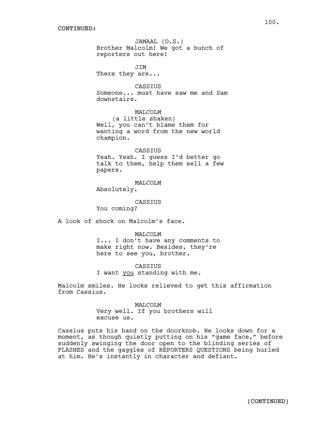JAMAAL (O.S.) Brother Malcolm! We got a bunch of reporters out here!

JIM There they are...

CASSIUS Someone... must have saw me and Sam downstairs.

MALCOLM (a little shaken) Well, you can't blame them for wanting a word from the new world champion.

CASSIUS Yeah. Yeah. I guess I'd better go talk to them, help them sell a few papers.

MALCOLM

Absolutely.

CASSIUS You coming?

A look of shock on Malcolm's face.

MALCOLM

I... I don't have any comments to make right now. Besides, they're here to see you, brother.

CASSIUS I want you standing with me.

Malcolm smiles. He looks relieved to get this affirmation from Cassius.

> MALCOLM Very well. If you brothers will excuse us.

Cassius puts his hand on the doorknob. He looks down for a moment, as though quietly putting on his "game face," before suddenly swinging the door open to the blinding series of FLASHES and the gaggles of REPORTERS QUESTIONS being hurled at him. He's instantly in character and defiant.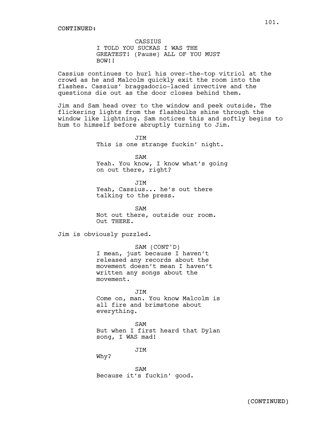CASSIUS I TOLD YOU SUCKAS I WAS THE GREATEST! (Pause) ALL OF YOU MUST BOW!!

Cassius continues to hurl his over-the-top vitriol at the crowd as he and Malcolm quickly exit the room into the flashes. Cassius' braggadocio-laced invective and the questions die out as the door closes behind them.

Jim and Sam head over to the window and peek outside. The flickering lights from the flashbulbs shine through the window like lightning. Sam notices this and softly begins to hum to himself before abruptly turning to Jim.

> **JTM** This is one strange fuckin' night.

> > SAM

Yeah. You know, I know what's going on out there, right?

JIM Yeah, Cassius... he's out there talking to the press.

SAM Not out there, outside our room. Out THERE.

Jim is obviously puzzled.

SAM (CONT'D) I mean, just because I haven't released any records about the movement doesn't mean I haven't written any songs about the movement.

JIM

Come on, man. You know Malcolm is all fire and brimstone about everything.

SAM But when I first heard that Dylan song, I WAS mad!

JIM

Why?

SAM Because it's fuckin' good.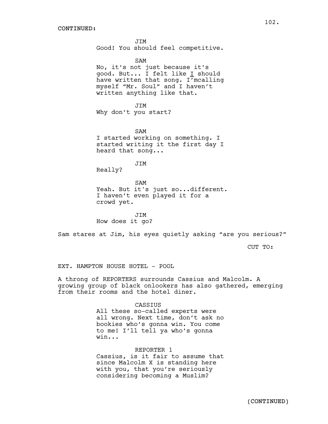**JTM** Good! You should feel competitive.

SAM

No, it's not just because it's good. But... I felt like I should have written that song. I'mcalling myself "Mr. Soul" and I haven't written anything like that.

JIM Why don't you start?

SAM I started working on something. I started writing it the first day I heard that song...

JIM Really?

SAM Yeah. But it's just so...different. I haven't even played it for a crowd yet.

JIM How does it go?

Sam stares at Jim, his eyes quietly asking "are you serious?"

CUT TO:

EXT. HAMPTON HOUSE HOTEL - POOL

A throng of REPORTERS surrounds Cassius and Malcolm. A growing group of black onlookers has also gathered, emerging from their rooms and the hotel diner.

CASSIUS

All these so-called experts were all wrong. Next time, don't ask no bookies who's gonna win. You come to me! I'll tell ya who's gonna win...

REPORTER 1 Cassius, is it fair to assume that since Malcolm X is standing here with you, that you're seriously considering becoming a Muslim?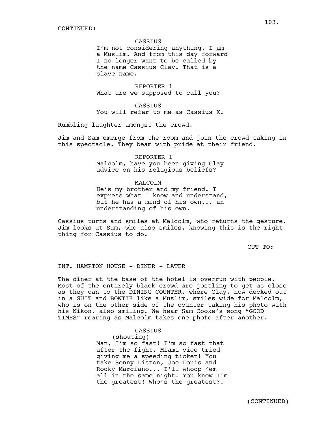## CASSIUS

I'm not considering anything. I am a Muslim. And from this day forward I no longer want to be called by the name Cassius Clay. That is a slave name.

REPORTER 1 What are we supposed to call you?

CASSIUS You will refer to me as Cassius X.

Rumbling laughter amongst the crowd.

Jim and Sam emerge from the room and join the crowd taking in this spectacle. They beam with pride at their friend.

> REPORTER 1 Malcolm, have you been giving Clay advice on his religious beliefs?

> > MALCOLM

He's my brother and my friend. I express what I know and understand, but he has a mind of his own... an understanding of his own.

Cassius turns and smiles at Malcolm, who returns the gesture. Jim looks at Sam, who also smiles, knowing this is the right thing for Cassius to do.

CUT TO:

# INT. HAMPTON HOUSE - DINER - LATER

The diner at the base of the hotel is overrun with people. Most of the entirely black crowd are jostling to get as close as they can to the DINING COUNTER, where Clay, now decked out in a SUIT and BOWTIE like a Muslim, smiles wide for Malcolm, who is on the other side of the counter taking his photo with his Nikon, also smiling. We hear Sam Cooke's song "GOOD TIMES" roaring as Malcolm takes one photo after another.

# CASSIUS

(shouting) Man, I'm so fast! I'm so fast that after the fight, Miami vice tried giving me a speeding ticket! You take Sonny Liston, Joe Louis and Rocky Marciano... I'll whoop 'em all in the same night! You know I'm the greatest! Who's the greatest?!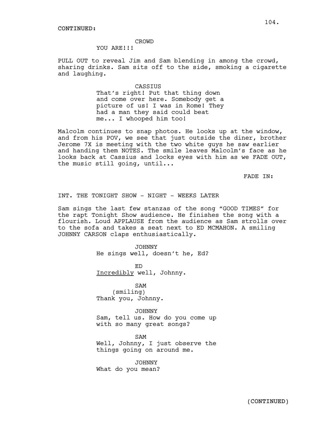# CROWD

YOU ARE!!!

PULL OUT to reveal Jim and Sam blending in among the crowd, sharing drinks. Sam sits off to the side, smoking a cigarette and laughing.

> CASSIUS That's right! Put that thing down and come over here. Somebody get a picture of us! I was in Rome! They had a man they said could beat me... I whooped him too!

Malcolm continues to snap photos. He looks up at the window, and from his POV, we see that just outside the diner, brother Jerome 7X is meeting with the two white guys he saw earlier and handing them NOTES. The smile leaves Malcolm's face as he looks back at Cassius and locks eyes with him as we FADE OUT, the music still going, until...

FADE IN:

INT. THE TONIGHT SHOW - NIGHT - WEEKS LATER

Sam sings the last few stanzas of the song "GOOD TIMES" for the rapt Tonight Show audience. He finishes the song with a flourish. Loud APPLAUSE from the audience as Sam strolls over to the sofa and takes a seat next to ED MCMAHON. A smiling JOHNNY CARSON claps enthusiastically.

> JOHNNY He sings well, doesn't he, Ed?

ED Incredibly well, Johnny.

SAM (smiling) Thank you, Johnny.

JOHNNY Sam, tell us. How do you come up with so many great songs?

SAM Well, Johnny, I just observe the things going on around me.

JOHNNY What do you mean?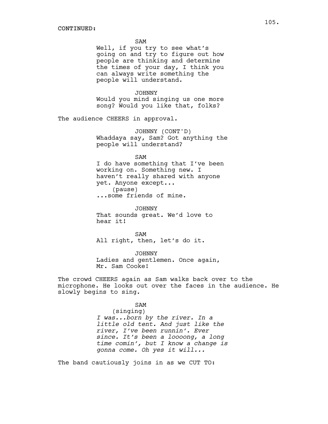SAM

Well, if you try to see what's going on and try to figure out how people are thinking and determine the times of your day, I think you can always write something the people will understand.

JOHNNY

Would you mind singing us one more song? Would you like that, folks?

The audience CHEERS in approval.

JOHNNY (CONT'D) Whaddaya say, Sam? Got anything the people will understand?

SAM

I do have something that I've been working on. Something new. I haven't really shared with anyone yet. Anyone except... (pause) ...some friends of mine.

JOHNNY That sounds great. We'd love to hear it!

SAM All right, then, let's do it.

JOHNNY Ladies and gentlemen. Once again, Mr. Sam Cooke!

The crowd CHEERS again as Sam walks back over to the microphone. He looks out over the faces in the audience. He slowly begins to sing.

> SAM (singing) *I was...born by the river. In a little old tent. And just like the river, I've been runnin'. Ever since. It's been a loooong, a long time comin', but I know a change is gonna come. Oh yes it will...*

The band cautiously joins in as we CUT TO: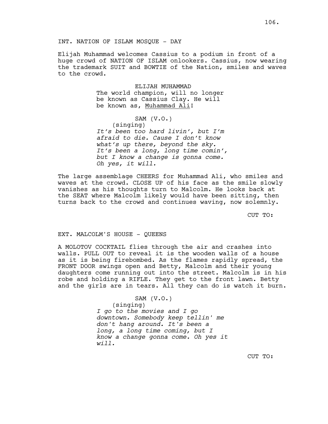INT. NATION OF ISLAM MOSQUE - DAY

Elijah Muhammad welcomes Cassius to a podium in front of a huge crowd of NATION OF ISLAM onlookers. Cassius, now wearing the trademark SUIT and BOWTIE of the Nation, smiles and waves to the crowd.

> ELIJAH MUHAMMAD The world champion, will no longer be known as Cassius Clay. He will be known as, Muhammad Ali!

SAM (V.O.) (singing) *It's been too hard livin', but I'm afraid to die. Cause I don't know what's up there, beyond the sky. It's been a long, long time comin', but I know a change is gonna come. Oh yes, it will.*

The large assemblage CHEERS for Muhammad Ali, who smiles and waves at the crowd. CLOSE UP of his face as the smile slowly vanishes as his thoughts turn to Malcolm. He looks back at the SEAT where Malcolm likely would have been sitting, then turns back to the crowd and continues waving, now solemnly.

CUT TO:

EXT. MALCOLM'S HOUSE - QUEENS

A MOLOTOV COCKTAIL flies through the air and crashes into walls. PULL OUT to reveal it is the wooden walls of a house as it is being firebombed. As the flames rapidly spread, the FRONT DOOR swings open and Betty, Malcolm and their young daughters come running out into the street. Malcolm is in his robe and holding a RIFLE. They get to the front lawn. Betty and the girls are in tears. All they can do is watch it burn.

SAM (V.O.)

(singing) *I go to the movies and I go downtown. Somebody keep tellin' me don't hang around. It's been a long, a long time coming, but I know a change gonna come. Oh yes it will.*

CUT TO: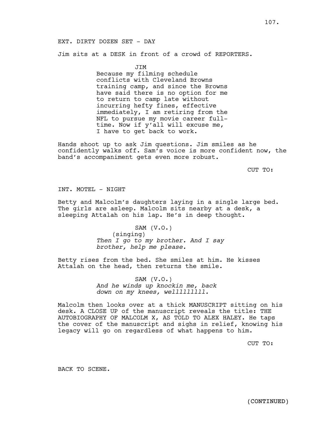# EXT. DIRTY DOZEN SET - DAY

Jim sits at a DESK in front of a crowd of REPORTERS.

JIM

Because my filming schedule conflicts with Cleveland Browns training camp, and since the Browns have said there is no option for me to return to camp late without incurring hefty fines, effective immediately, I am retiring from the NFL to pursue my movie career fulltime. Now if y'all will excuse me, I have to get back to work.

Hands shoot up to ask Jim questions. Jim smiles as he confidently walks off. Sam's voice is more confident now, the band's accompaniment gets even more robust.

CUT TO:

INT. MOTEL - NIGHT

Betty and Malcolm's daughters laying in a single large bed. The girls are asleep. Malcolm sits nearby at a desk, a sleeping Attalah on his lap. He's in deep thought.

> SAM (V.O.) (singing) *Then I go to my brother. And I say brother, help me please.*

Betty rises from the bed. She smiles at him. He kisses Attalah on the head, then returns the smile.

> SAM (V.O.) *And he winds up knockin me, back down on my knees, welllllllll.*

Malcolm then looks over at a thick MANUSCRIPT sitting on his desk. A CLOSE UP of the manuscript reveals the title: THE AUTOBIOGRAPHY OF MALCOLM X, AS TOLD TO ALEX HALEY. He taps the cover of the manuscript and sighs in relief, knowing his legacy will go on regardless of what happens to him.

CUT TO:

BACK TO SCENE.